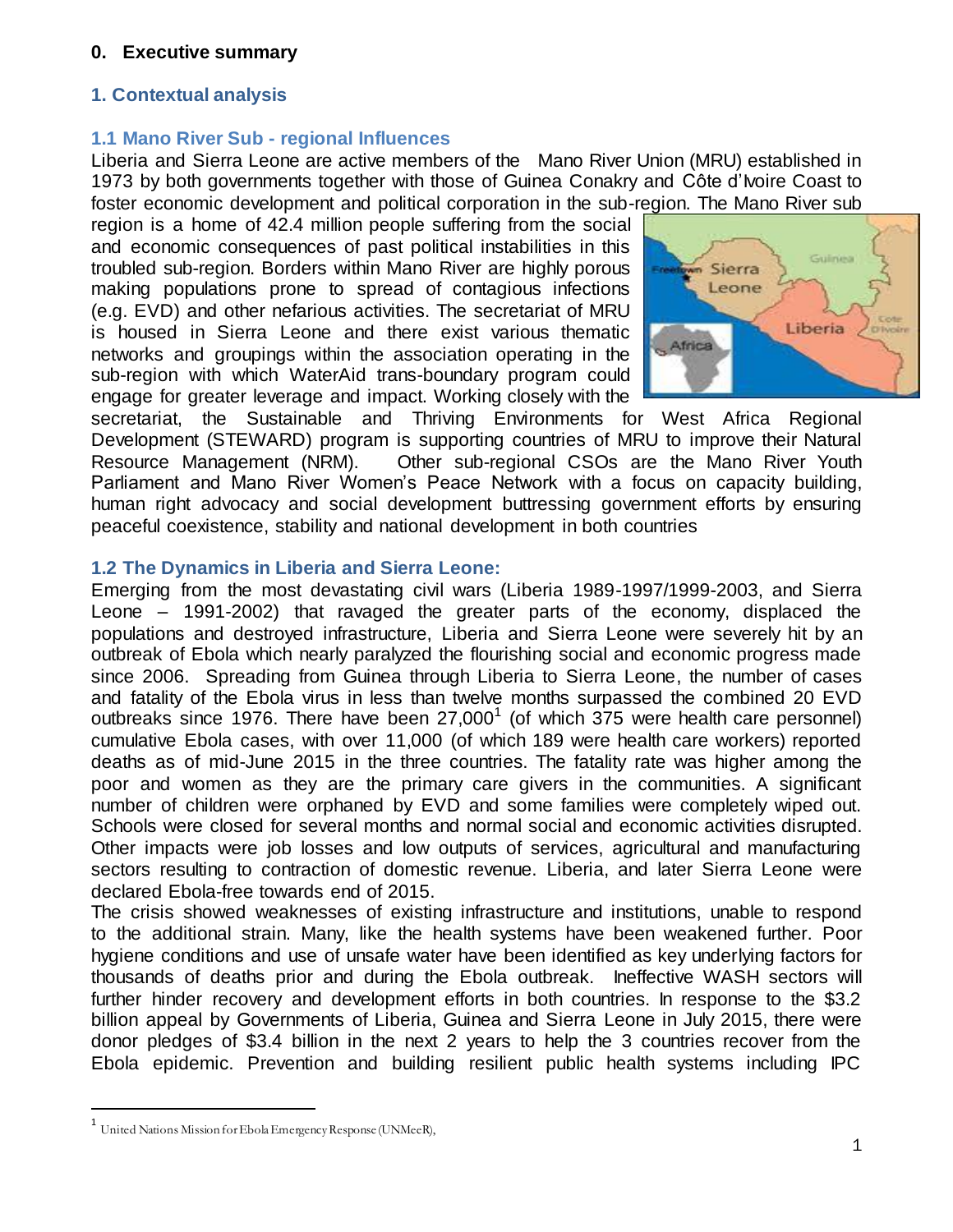#### **0. Executive summary**

## **1. Contextual analysis**

#### **1.1 Mano River Sub - regional Influences**

Liberia and Sierra Leone are active members of the Mano River Union (MRU) established in 1973 by both governments together with those of Guinea Conakry and Côte d'Ivoire Coast to foster economic development and political corporation in the sub-region. The Mano River sub

region is a home of 42.4 million people suffering from the social and economic consequences of past political instabilities in this troubled sub-region. Borders within Mano River are highly porous making populations prone to spread of contagious infections (e.g. EVD) and other nefarious activities. The secretariat of MRU is housed in Sierra Leone and there exist various thematic networks and groupings within the association operating in the sub-region with which WaterAid trans-boundary program could engage for greater leverage and impact. Working closely with the



secretariat, the Sustainable and Thriving Environments for West Africa Regional Development (STEWARD) program is supporting countries of MRU to improve their Natural Resource Management (NRM). Other sub-regional CSOs are the Mano River Youth Parliament and Mano River Women's Peace Network with a focus on capacity building, human right advocacy and social development buttressing government efforts by ensuring peaceful coexistence, stability and national development in both countries

#### **1.2 The Dynamics in Liberia and Sierra Leone:**

Emerging from the most devastating civil wars (Liberia 1989-1997/1999-2003, and Sierra Leone – 1991-2002) that ravaged the greater parts of the economy, displaced the populations and destroyed infrastructure, Liberia and Sierra Leone were severely hit by an outbreak of Ebola which nearly paralyzed the flourishing social and economic progress made since 2006. Spreading from Guinea through Liberia to Sierra Leone, the number of cases and fatality of the Ebola virus in less than twelve months surpassed the combined 20 EVD outbreaks since 1976. There have been  $27,000^1$  (of which  $375$  were health care personnel) cumulative Ebola cases, with over 11,000 (of which 189 were health care workers) reported deaths as of mid-June 2015 in the three countries. The fatality rate was higher among the poor and women as they are the primary care givers in the communities. A significant number of children were orphaned by EVD and some families were completely wiped out. Schools were closed for several months and normal social and economic activities disrupted. Other impacts were job losses and low outputs of services, agricultural and manufacturing sectors resulting to contraction of domestic revenue. Liberia, and later Sierra Leone were declared Ebola-free towards end of 2015.

The crisis showed weaknesses of existing infrastructure and institutions, unable to respond to the additional strain. Many, like the health systems have been weakened further. Poor hygiene conditions and use of unsafe water have been identified as key underlying factors for thousands of deaths prior and during the Ebola outbreak. Ineffective WASH sectors will further hinder recovery and development efforts in both countries. In response to the \$3.2 billion appeal by Governments of Liberia, Guinea and Sierra Leone in July 2015, there were donor pledges of \$3.4 billion in the next 2 years to help the 3 countries recover from the Ebola epidemic. Prevention and building resilient public health systems including IPC

<sup>1</sup> United Nations Mission for Ebola Emergency Response (UNMeeR),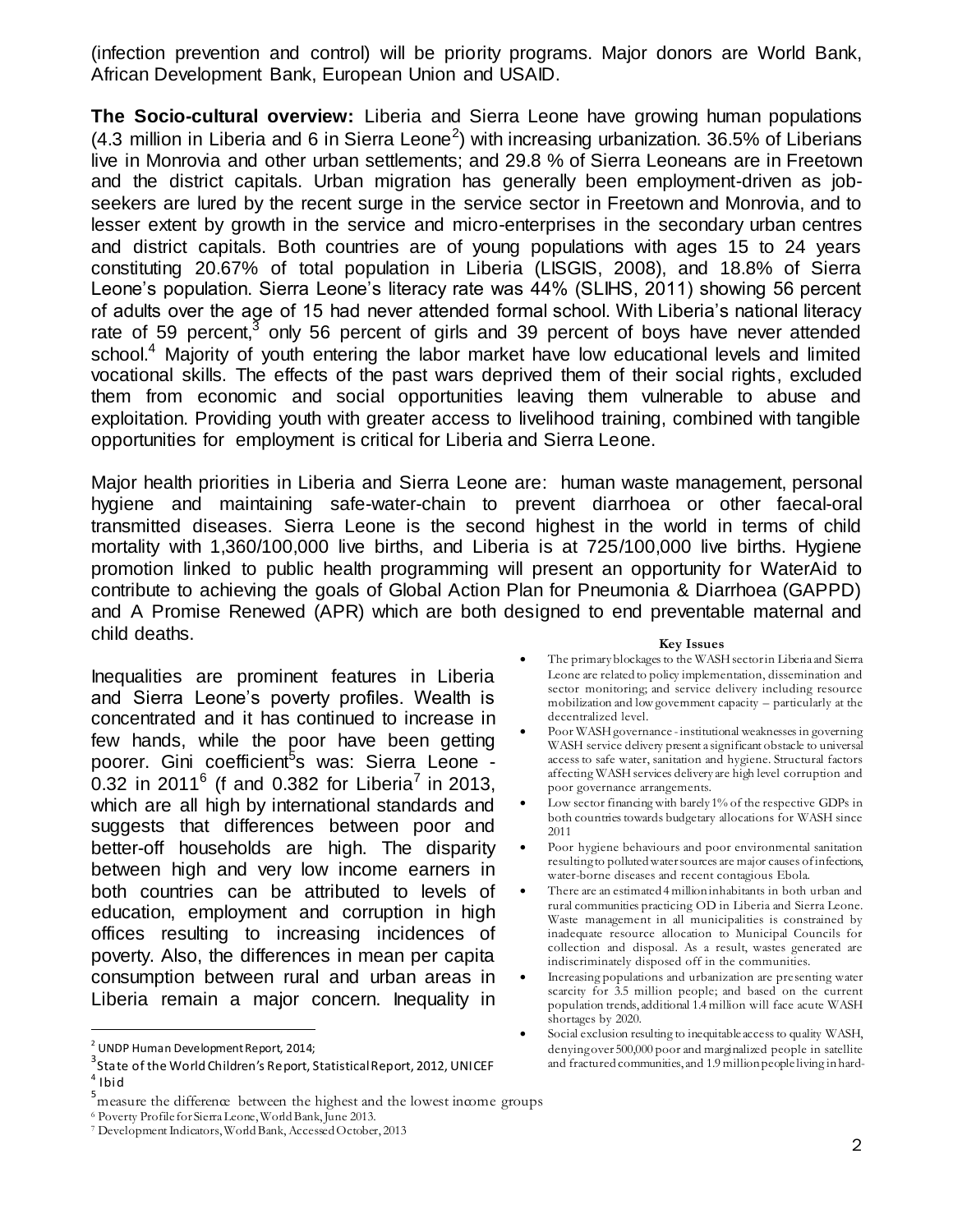(infection prevention and control) will be priority programs. Major donors are World Bank, African Development Bank, European Union and USAID.

**The Socio-cultural overview:** Liberia and Sierra Leone have growing human populations (4.3 million in Liberia and 6 in Sierra Leone<sup>2</sup>) with increasing urbanization. 36.5% of Liberians live in Monrovia and other urban settlements; and 29.8 % of Sierra Leoneans are in Freetown and the district capitals. Urban migration has generally been employment-driven as jobseekers are lured by the recent surge in the service sector in Freetown and Monrovia, and to lesser extent by growth in the service and micro-enterprises in the secondary urban centres and district capitals. Both countries are of young populations with ages 15 to 24 years constituting 20.67% of total population in Liberia (LISGIS, 2008), and 18.8% of Sierra Leone's population. Sierra Leone's literacy rate was 44% (SLIHS, 2011) showing 56 percent of adults over the age of 15 had never attended formal school. With Liberia's national literacy rate of 59 percent,<sup>3</sup> only 56 percent of girls and 39 percent of boys have never attended school.<sup>4</sup> Majority of youth entering the labor market have low educational levels and limited vocational skills. The effects of the past wars deprived them of their social rights, excluded them from economic and social opportunities leaving them vulnerable to abuse and exploitation. Providing youth with greater access to livelihood training, combined with tangible opportunities for employment is critical for Liberia and Sierra Leone.

Major health priorities in Liberia and Sierra Leone are: human waste management, personal hygiene and maintaining safe-water-chain to prevent diarrhoea or other faecal-oral transmitted diseases. Sierra Leone is the second highest in the world in terms of child mortality with 1,360/100,000 live births, and Liberia is at 725/100,000 live births. Hygiene promotion linked to public health programming will present an opportunity for WaterAid to contribute to achieving the goals of Global Action Plan for Pneumonia & Diarrhoea (GAPPD) and A Promise Renewed (APR) which are both designed to end preventable maternal and child deaths.

Inequalities are prominent features in Liberia and Sierra Leone's poverty profiles. Wealth is concentrated and it has continued to increase in few hands, while the poor have been getting poorer. Gini coefficient<sup>5</sup>s was: Sierra Leone -0.32 in 2011<sup>6</sup> (f and 0.382 for Liberia<sup>7</sup> in 2013, which are all high by international standards and suggests that differences between poor and better-off households are high. The disparity between high and very low income earners in both countries can be attributed to levels of education, employment and corruption in high offices resulting to increasing incidences of poverty. Also, the differences in mean per capita consumption between rural and urban areas in Liberia remain a major concern. Inequality in

 $\overline{a}$ 

#### **Key Issues**

- The primary blockages to the WASH sector in Liberia and Sierra Leone are related to policy implementation, dissemination and sector monitoring; and service delivery including resource mobilization and low government capacity – particularly at the decentralized level.
- Poor WASH governance -institutional weaknesses in governing WASH service delivery present a significant obstacle to universal access to safe water, sanitation and hygiene. Structural factors affecting WASH services delivery are high level corruption and poor governance arrangements.
- Low sector financing with barely 1% of the respective GDPs in both countries towards budgetary allocations for WASH since 2011
- Poor hygiene behaviours and poor environmental sanitation resulting to polluted water sources are major causes of infections, water-borne diseases and recent contagious Ebola.
- There are an estimated 4 million inhabitants in both urban and rural communities practicing OD in Liberia and Sierra Leone. Waste management in all municipalities is constrained by inadequate resource allocation to Municipal Councils for collection and disposal. As a result, wastes generated are indiscriminately disposed off in the communities.
- Increasing populations and urbanization are presenting water scarcity for 3.5 million people; and based on the current population trends, additional 1.4 million will face acute WASH shortages by 2020.
- Social exclusion resulting to inequitable access to quality WASH, denying over 500,000 poor and marginalized people in satellite and fractured communities, and 1.9 million people living in hard-

<sup>2</sup> UNDP Human Development Report, 2014;

 $^3$ State of the World Children's Report, Statistical Report, 2012, UNICEF 4 Ibid

<sup>5&</sup>lt;br>measure the difference between the highest and the lowest income groups

<sup>6</sup> Poverty Profile for Sierra Leone, World Bank, June 2013.

<sup>7</sup> Development Indicators, World Bank, Accessed October, 2013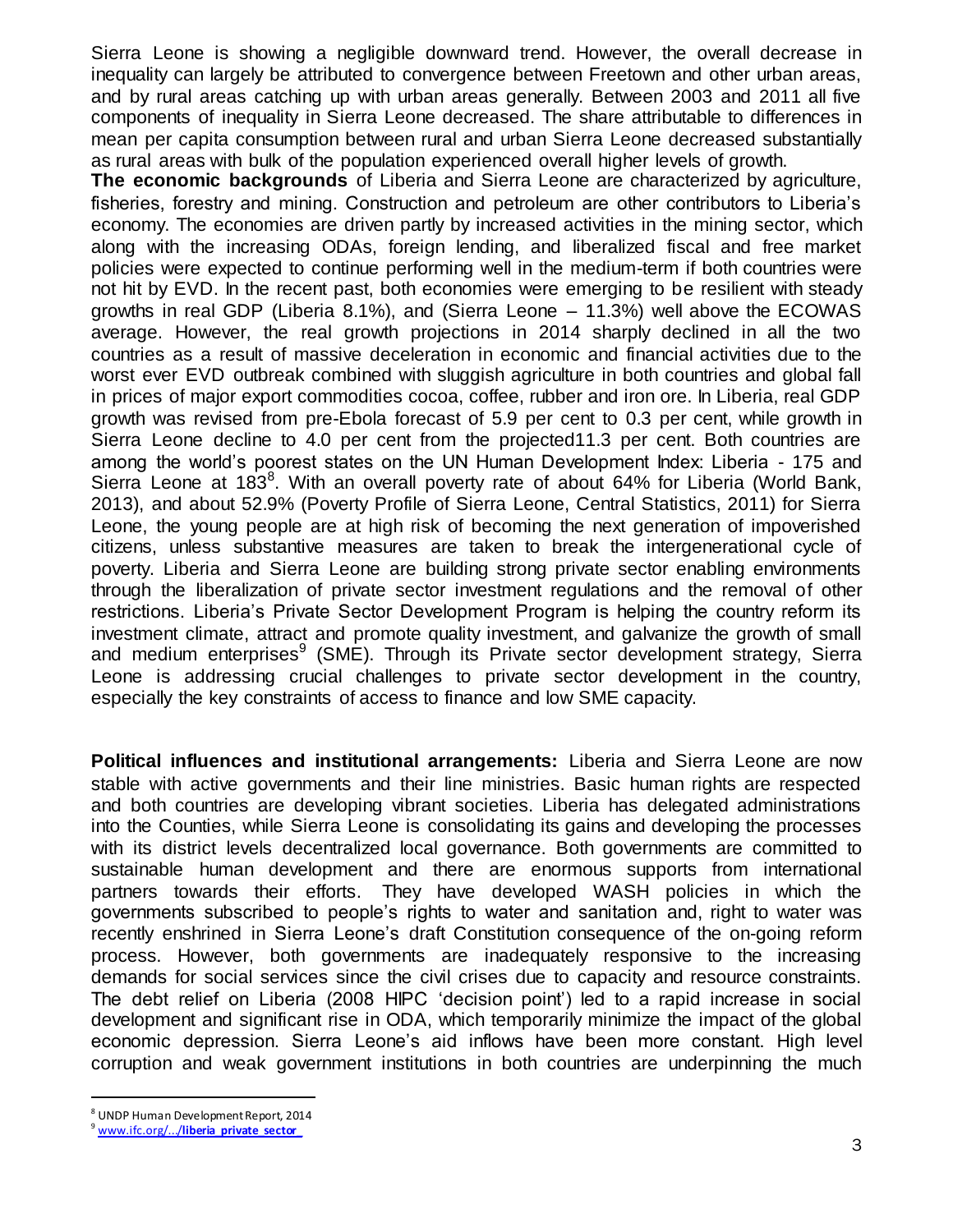Sierra Leone is showing a negligible downward trend. However, the overall decrease in inequality can largely be attributed to convergence between Freetown and other urban areas, and by rural areas catching up with urban areas generally. Between 2003 and 2011 all five components of inequality in Sierra Leone decreased. The share attributable to differences in mean per capita consumption between rural and urban Sierra Leone decreased substantially as rural areas with bulk of the population experienced overall higher levels of growth.

**The economic backgrounds** of Liberia and Sierra Leone are characterized by agriculture, fisheries, forestry and mining. Construction and petroleum are other contributors to Liberia's economy. The economies are driven partly by increased activities in the mining sector, which along with the increasing ODAs, foreign lending, and liberalized fiscal and free market policies were expected to continue performing well in the medium-term if both countries were not hit by EVD. In the recent past, both economies were emerging to be resilient with steady growths in real GDP (Liberia 8.1%), and (Sierra Leone – 11.3%) well above the ECOWAS average. However, the real growth projections in 2014 sharply declined in all the two countries as a result of massive deceleration in economic and financial activities due to the worst ever EVD outbreak combined with sluggish agriculture in both countries and global fall in prices of major export commodities cocoa, coffee, rubber and iron ore. In Liberia, real GDP growth was revised from pre-Ebola forecast of 5.9 per cent to 0.3 per cent, while growth in Sierra Leone decline to 4.0 per cent from the projected11.3 per cent. Both countries are among the world's poorest states on the UN Human Development Index: Liberia - 175 and Sierra Leone at 183<sup>8</sup>. With an overall poverty rate of about 64% for Liberia (World Bank, 2013), and about 52.9% (Poverty Profile of Sierra Leone, Central Statistics, 2011) for Sierra Leone, the young people are at high risk of becoming the next generation of impoverished citizens, unless substantive measures are taken to break the intergenerational cycle of poverty. Liberia and Sierra Leone are building strong private sector enabling environments through the liberalization of private sector investment regulations and the removal of other restrictions. Liberia's Private Sector Development Program is helping the country reform its investment climate, attract and promote quality investment, and galvanize the growth of small and medium enterprises<sup>9</sup> (SME). Through its Private sector development strategy, Sierra Leone is addressing crucial challenges to private sector development in the country, especially the key constraints of access to finance and low SME capacity.

**Political influences and institutional arrangements:** Liberia and Sierra Leone are now stable with active governments and their line ministries. Basic human rights are respected and both countries are developing vibrant societies. Liberia has delegated administrations into the Counties, while Sierra Leone is consolidating its gains and developing the processes with its district levels decentralized local governance. Both governments are committed to sustainable human development and there are enormous supports from international partners towards their efforts. They have developed WASH policies in which the governments subscribed to people's rights to water and sanitation and, right to water was recently enshrined in Sierra Leone's draft Constitution consequence of the on-going reform process. However, both governments are inadequately responsive to the increasing demands for social services since the civil crises due to capacity and resource constraints. The debt relief on Liberia (2008 HIPC 'decision point') led to a rapid increase in social development and significant rise in ODA, which temporarily minimize the impact of the global economic depression. Sierra Leone's aid inflows have been more constant. High level corruption and weak government institutions in both countries are underpinning the much

<sup>&</sup>lt;sup>8</sup> UNDP Human Development Report, 2014

<sup>9</sup> [www.ifc.org/.../](http://www.ifc.org/.../liberia_private_sector_)**liberia**\_**private**\_**sector**\_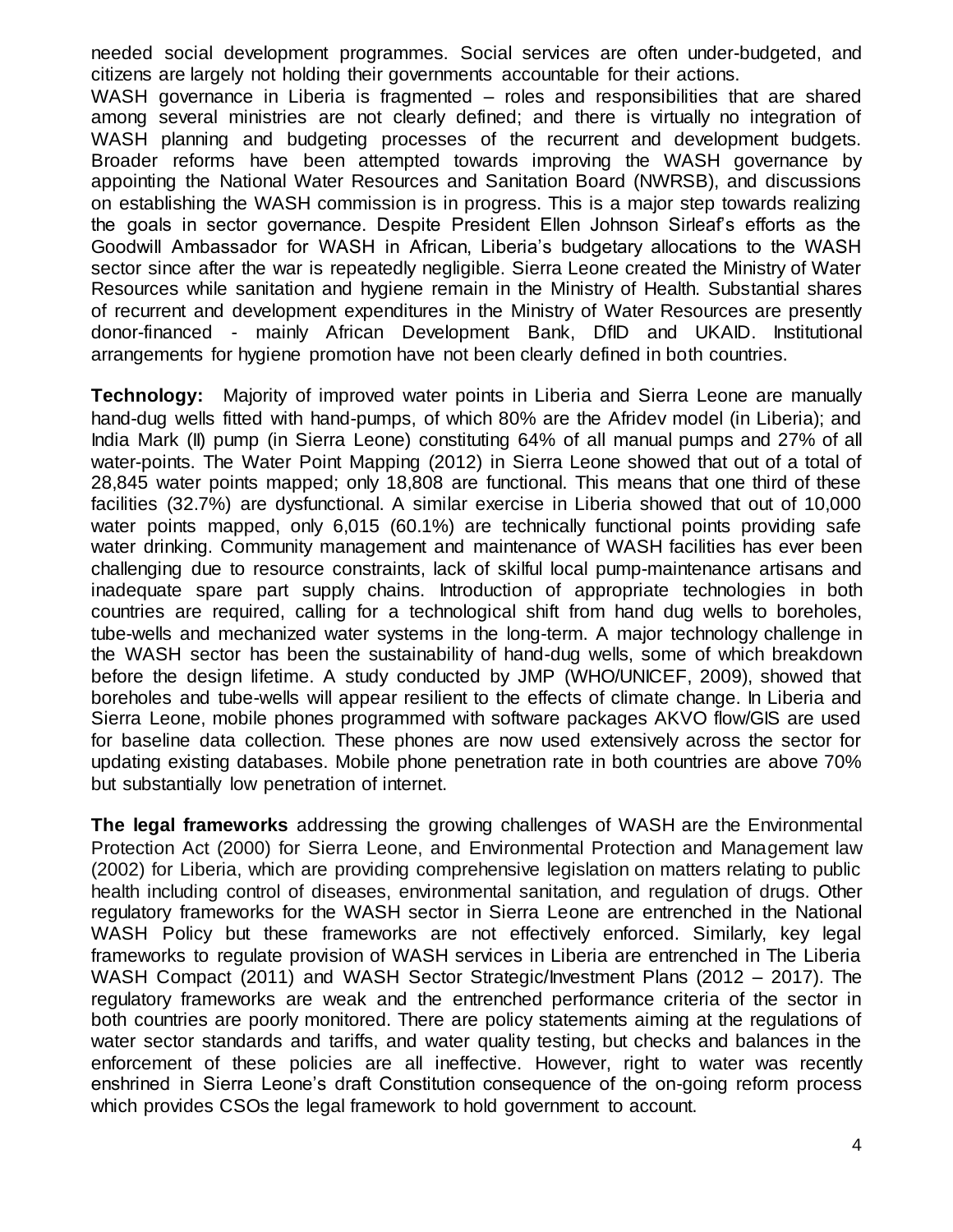needed social development programmes. Social services are often under-budgeted, and citizens are largely not holding their governments accountable for their actions.

WASH governance in Liberia is fragmented – roles and responsibilities that are shared among several ministries are not clearly defined; and there is virtually no integration of WASH planning and budgeting processes of the recurrent and development budgets. Broader reforms have been attempted towards improving the WASH governance by appointing the National Water Resources and Sanitation Board (NWRSB), and discussions on establishing the WASH commission is in progress. This is a major step towards realizing the goals in sector governance. Despite President Ellen Johnson Sirleaf's efforts as the Goodwill Ambassador for WASH in African, Liberia's budgetary allocations to the WASH sector since after the war is repeatedly negligible. Sierra Leone created the Ministry of Water Resources while sanitation and hygiene remain in the Ministry of Health. Substantial shares of recurrent and development expenditures in the Ministry of Water Resources are presently donor-financed - mainly African Development Bank, DfID and UKAID. Institutional arrangements for hygiene promotion have not been clearly defined in both countries.

**Technology:** Majority of improved water points in Liberia and Sierra Leone are manually hand-dug wells fitted with hand-pumps, of which 80% are the Afridev model (in Liberia); and India Mark (II) pump (in Sierra Leone) constituting 64% of all manual pumps and 27% of all water-points. The Water Point Mapping (2012) in Sierra Leone showed that out of a total of 28,845 water points mapped; only 18,808 are functional. This means that one third of these facilities (32.7%) are dysfunctional. A similar exercise in Liberia showed that out of 10,000 water points mapped, only 6,015 (60.1%) are technically functional points providing safe water drinking. Community management and maintenance of WASH facilities has ever been challenging due to resource constraints, lack of skilful local pump-maintenance artisans and inadequate spare part supply chains. Introduction of appropriate technologies in both countries are required, calling for a technological shift from hand dug wells to boreholes, tube-wells and mechanized water systems in the long-term. A major technology challenge in the WASH sector has been the sustainability of hand-dug wells, some of which breakdown before the design lifetime. A study conducted by JMP (WHO/UNICEF, 2009), showed that boreholes and tube-wells will appear resilient to the effects of climate change. In Liberia and Sierra Leone, mobile phones programmed with software packages AKVO flow/GIS are used for baseline data collection. These phones are now used extensively across the sector for updating existing databases. Mobile phone penetration rate in both countries are above 70% but substantially low penetration of internet.

**The legal frameworks** addressing the growing challenges of WASH are the Environmental Protection Act (2000) for Sierra Leone, and Environmental Protection and Management law (2002) for Liberia, which are providing comprehensive legislation on matters relating to public health including control of diseases, environmental sanitation, and regulation of drugs. Other regulatory frameworks for the WASH sector in Sierra Leone are entrenched in the National WASH Policy but these frameworks are not effectively enforced. Similarly, key legal frameworks to regulate provision of WASH services in Liberia are entrenched in The Liberia WASH Compact (2011) and WASH Sector Strategic/Investment Plans (2012 – 2017). The regulatory frameworks are weak and the entrenched performance criteria of the sector in both countries are poorly monitored. There are policy statements aiming at the regulations of water sector standards and tariffs, and water quality testing, but checks and balances in the enforcement of these policies are all ineffective. However, right to water was recently enshrined in Sierra Leone's draft Constitution consequence of the on-going reform process which provides CSOs the legal framework to hold government to account.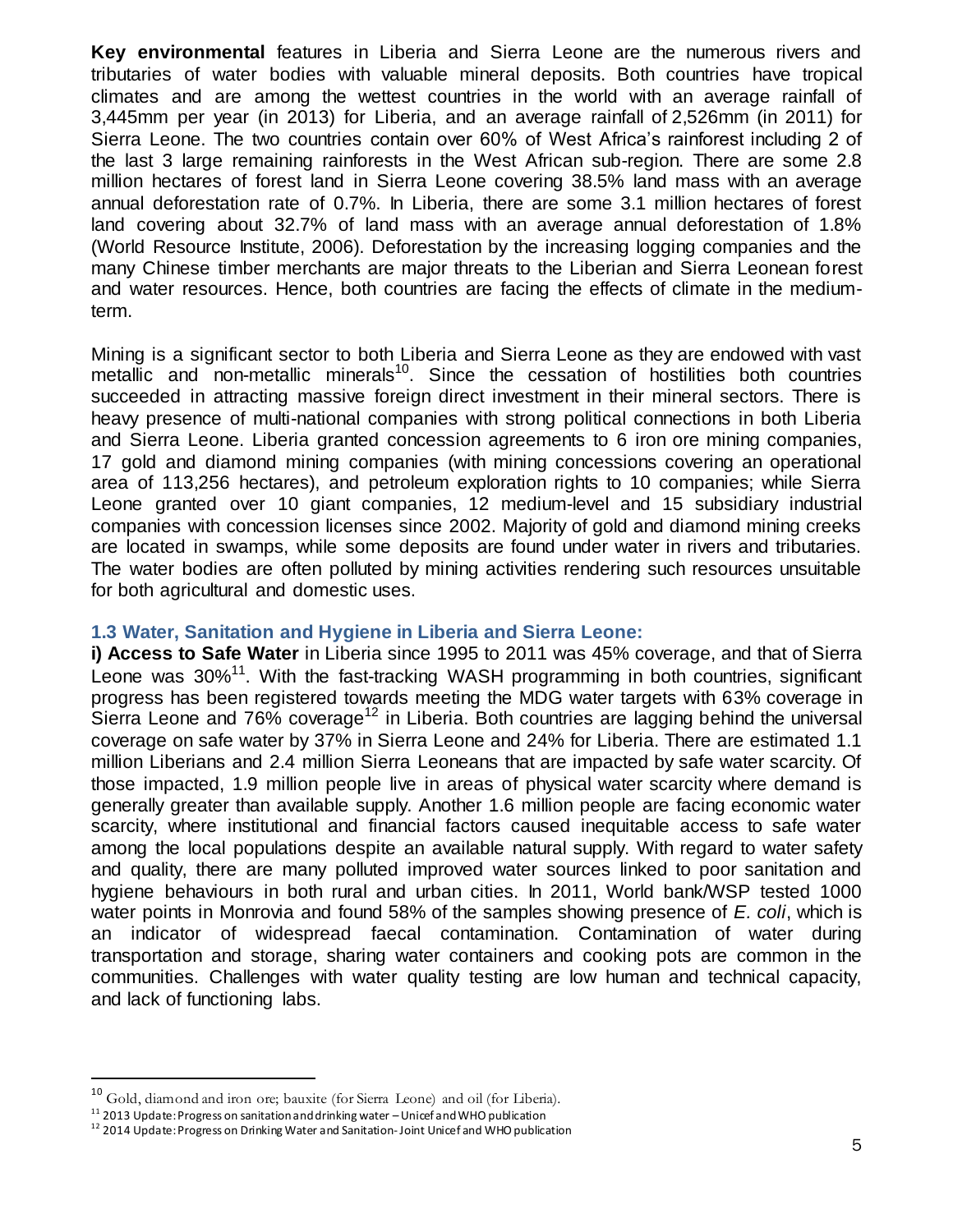**Key environmental** features in Liberia and Sierra Leone are the numerous rivers and tributaries of water bodies with valuable mineral deposits. Both countries have tropical climates and are among the wettest countries in the world with an average rainfall of 3,445mm per year (in 2013) for Liberia, and an average rainfall of 2,526mm (in 2011) for Sierra Leone. The two countries contain over 60% of West Africa's rainforest including 2 of the last 3 large remaining rainforests in the West African sub-region. There are some 2.8 million hectares of forest land in Sierra Leone covering 38.5% land mass with an average annual deforestation rate of 0.7%. In Liberia, there are some 3.1 million hectares of forest land covering about 32.7% of land mass with an average annual deforestation of 1.8% (World Resource Institute, 2006). Deforestation by the increasing logging companies and the many Chinese timber merchants are major threats to the Liberian and Sierra Leonean forest and water resources. Hence, both countries are facing the effects of climate in the mediumterm.

Mining is a significant sector to both Liberia and Sierra Leone as they are endowed with vast many is a significant sector to see in such and sector as any one starting in matrice. succeeded in attracting massive foreign direct investment in their mineral sectors. There is heavy presence of multi-national companies with strong political connections in both Liberia and Sierra Leone. Liberia granted concession agreements to 6 iron ore mining companies, 17 gold and diamond mining companies (with mining concessions covering an operational area of 113,256 hectares), and petroleum exploration rights to 10 companies; while Sierra Leone granted over 10 giant companies, 12 medium-level and 15 subsidiary industrial companies with concession licenses since 2002. Majority of gold and diamond mining creeks are located in swamps, while some deposits are found under water in rivers and tributaries. The water bodies are often polluted by mining activities rendering such resources unsuitable for both agricultural and domestic uses.

#### **1.3 Water, Sanitation and Hygiene in Liberia and Sierra Leone:**

**i) Access to Safe Water** in Liberia since 1995 to 2011 was 45% coverage, and that of Sierra Leone was 30%<sup>11</sup>. With the fast-tracking WASH programming in both countries, significant progress has been registered towards meeting the MDG water targets with 63% coverage in Sierra Leone and 76% coverage<sup>12</sup> in Liberia. Both countries are lagging behind the universal coverage on safe water by 37% in Sierra Leone and 24% for Liberia. There are estimated 1.1 million Liberians and 2.4 million Sierra Leoneans that are impacted by safe water scarcity. Of those impacted, 1.9 million people live in areas of physical water scarcity where demand is generally greater than available supply. Another 1.6 million people are facing economic water scarcity, where institutional and financial factors caused inequitable access to safe water among the local populations despite an available natural supply. With regard to water safety and quality, there are many polluted improved water sources linked to poor sanitation and hygiene behaviours in both rural and urban cities. In 2011, World bank/WSP tested 1000 water points in Monrovia and found 58% of the samples showing presence of *E. coli*, which is an indicator of widespread faecal contamination. Contamination of water during transportation and storage, sharing water containers and cooking pots are common in the communities. Challenges with water quality testing are low human and technical capacity, and lack of functioning labs.

<sup>&</sup>lt;sup>10</sup> Gold, diamond and iron ore; bauxite (for Sierra Leone) and oil (for Liberia).

 $11$  2013 Update: Progress on sanitation and drinking water – Unicef and WHO publication

<sup>&</sup>lt;sup>12</sup> 2014 Update: Progress on Drinking Water and Sanitation-Joint Unicef and WHO publication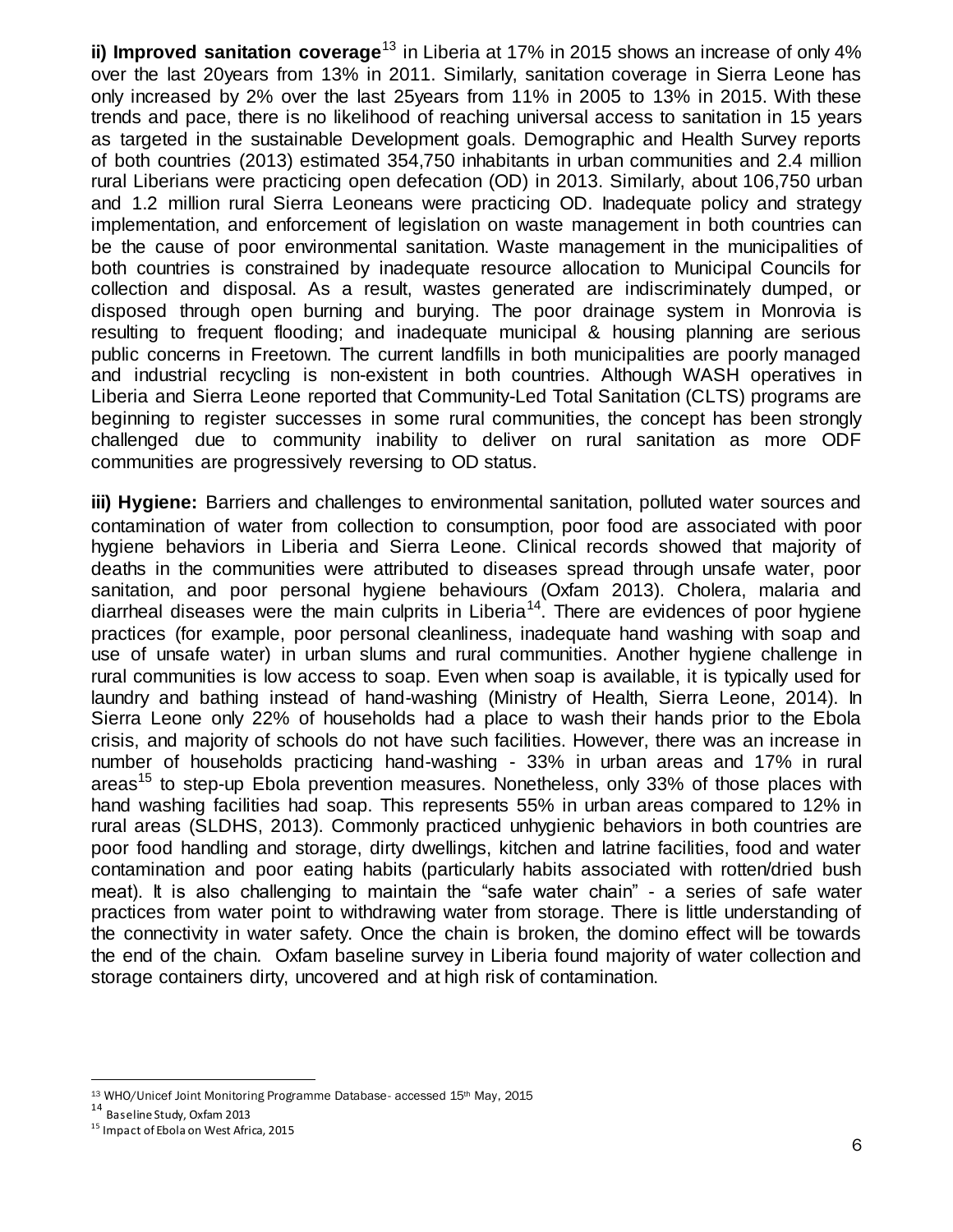**ii) Improved sanitation coverage**<sup>13</sup> in Liberia at 17% in 2015 shows an increase of only 4% over the last 20years from 13% in 2011. Similarly, sanitation coverage in Sierra Leone has only increased by 2% over the last 25years from 11% in 2005 to 13% in 2015. With these trends and pace, there is no likelihood of reaching universal access to sanitation in 15 years as targeted in the sustainable Development goals. Demographic and Health Survey reports of both countries (2013) estimated 354,750 inhabitants in urban communities and 2.4 million rural Liberians were practicing open defecation (OD) in 2013. Similarly, about 106,750 urban and 1.2 million rural Sierra Leoneans were practicing OD. Inadequate policy and strategy implementation, and enforcement of legislation on waste management in both countries can be the cause of poor environmental sanitation. Waste management in the municipalities of both countries is constrained by inadequate resource allocation to Municipal Councils for collection and disposal. As a result, wastes generated are indiscriminately dumped, or disposed through open burning and burying. The poor drainage system in Monrovia is resulting to frequent flooding; and inadequate municipal & housing planning are serious public concerns in Freetown. The current landfills in both municipalities are poorly managed and industrial recycling is non-existent in both countries. Although WASH operatives in Liberia and Sierra Leone reported that Community-Led Total Sanitation (CLTS) programs are beginning to register successes in some rural communities, the concept has been strongly challenged due to community inability to deliver on rural sanitation as more ODF communities are progressively reversing to OD status.

**iii) Hygiene:** Barriers and challenges to environmental sanitation, polluted water sources and contamination of water from collection to consumption, poor food are associated with poor hygiene behaviors in Liberia and Sierra Leone. Clinical records showed that majority of deaths in the communities were attributed to diseases spread through unsafe water, poor sanitation, and poor personal hygiene behaviours (Oxfam 2013). Cholera, malaria and diarrheal diseases were the main culprits in Liberia<sup>14</sup>. There are evidences of poor hygiene practices (for example, poor personal cleanliness, inadequate hand washing with soap and use of unsafe water) in urban slums and rural communities. Another hygiene challenge in rural communities is low access to soap. Even when soap is available, it is typically used for laundry and bathing instead of hand-washing (Ministry of Health, Sierra Leone, 2014). In Sierra Leone only 22% of households had a place to wash their hands prior to the Ebola crisis, and majority of schools do not have such facilities. However, there was an increase in number of households practicing hand-washing - 33% in urban areas and 17% in rural areas<sup>15</sup> to step-up Ebola prevention measures. Nonetheless, only 33% of those places with hand washing facilities had soap. This represents 55% in urban areas compared to 12% in rural areas (SLDHS, 2013). Commonly practiced unhygienic behaviors in both countries are poor food handling and storage, dirty dwellings, kitchen and latrine facilities, food and water contamination and poor eating habits (particularly habits associated with rotten/dried bush meat). It is also challenging to maintain the "safe water chain" - a series of safe water practices from water point to withdrawing water from storage. There is little understanding of the connectivity in water safety. Once the chain is broken, the domino effect will be towards the end of the chain. Oxfam baseline survey in Liberia found majority of water collection and storage containers dirty, uncovered and at high risk of contamination.

<sup>13</sup> WHO/Unicef Joint Monitoring Programme Database- accessed 15th May, 2015

<sup>14</sup> Baseline Study, Oxfam 2013

<sup>&</sup>lt;sup>15</sup> Impact of Ebola on West Africa, 2015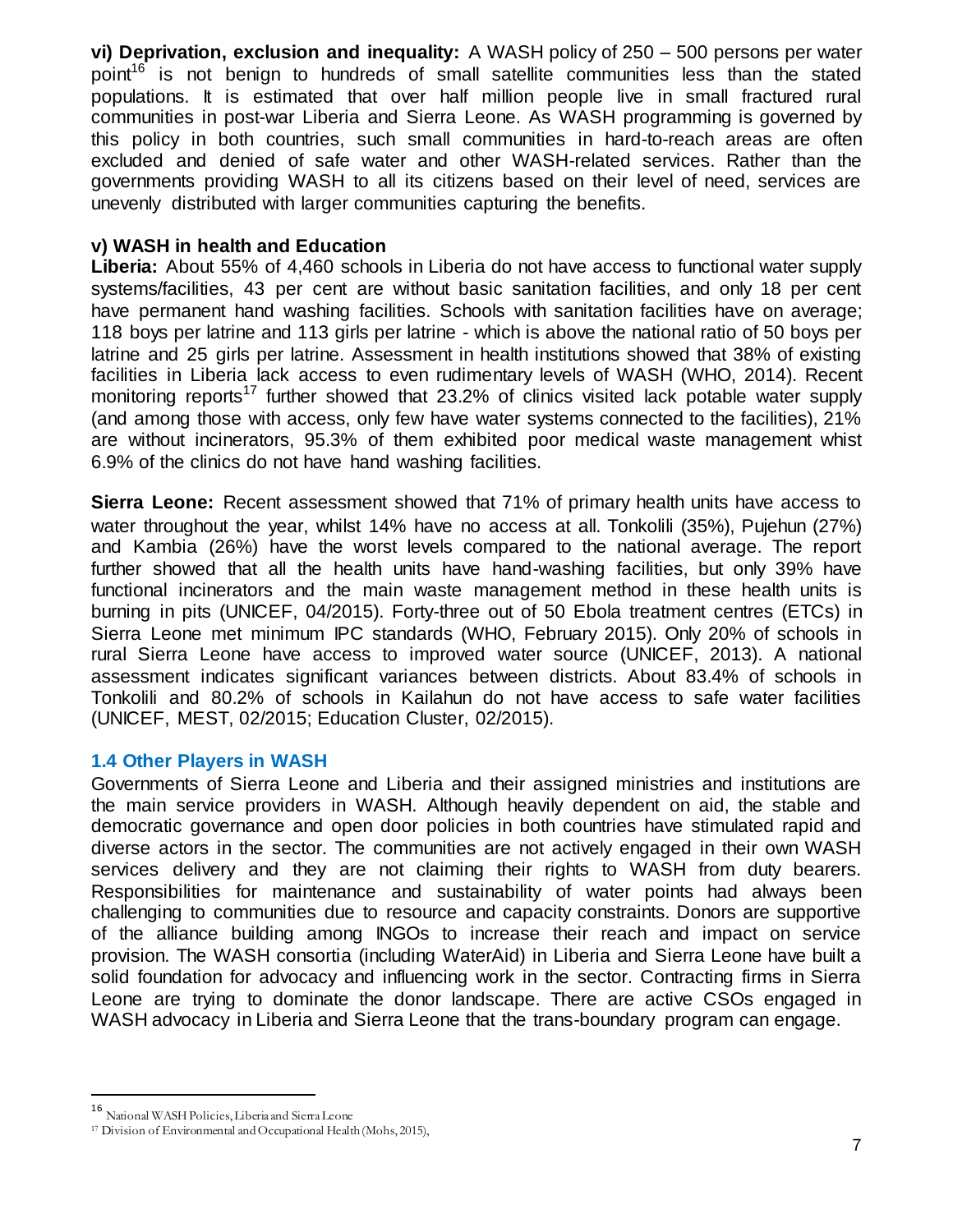**vi) Deprivation, exclusion and inequality:** A WASH policy of 250 – 500 persons per water point<sup>16</sup> is not benign to hundreds of small satellite communities less than the stated populations. It is estimated that over half million people live in small fractured rural communities in post-war Liberia and Sierra Leone. As WASH programming is governed by this policy in both countries, such small communities in hard-to-reach areas are often excluded and denied of safe water and other WASH-related services. Rather than the governments providing WASH to all its citizens based on their level of need, services are unevenly distributed with larger communities capturing the benefits.

#### **v) WASH in health and Education**

**Liberia:** About 55% of 4,460 schools in Liberia do not have access to functional water supply systems/facilities, 43 per cent are without basic sanitation facilities, and only 18 per cent have permanent hand washing facilities. Schools with sanitation facilities have on average; 118 boys per latrine and 113 girls per latrine - which is above the national ratio of 50 boys per latrine and 25 girls per latrine. Assessment in health institutions showed that 38% of existing facilities in Liberia lack access to even rudimentary levels of WASH (WHO, 2014). Recent monitoring reports<sup>17</sup> further showed that 23.2% of clinics visited lack potable water supply (and among those with access, only few have water systems connected to the facilities), 21% are without incinerators, 95.3% of them exhibited poor medical waste management whist 6.9% of the clinics do not have hand washing facilities.

**Sierra Leone:** Recent assessment showed that 71% of primary health units have access to water throughout the year, whilst 14% have no access at all. Tonkolili (35%), Pujehun (27%) and Kambia (26%) have the worst levels compared to the national average. The report further showed that all the health units have hand-washing facilities, but only 39% have functional incinerators and the main waste management method in these health units is burning in pits (UNICEF, 04/2015). Forty-three out of 50 Ebola treatment centres (ETCs) in Sierra Leone met minimum IPC standards (WHO, February 2015). Only 20% of schools in rural Sierra Leone have access to improved water source (UNICEF, 2013). A national assessment indicates significant variances between districts. About 83.4% of schools in Tonkolili and 80.2% of schools in Kailahun do not have access to safe water facilities (UNICEF, MEST, 02/2015; Education Cluster, 02/2015).

#### **1.4 Other Players in WASH**

Governments of Sierra Leone and Liberia and their assigned ministries and institutions are the main service providers in WASH. Although heavily dependent on aid, the stable and democratic governance and open door policies in both countries have stimulated rapid and diverse actors in the sector. The communities are not actively engaged in their own WASH services delivery and they are not claiming their rights to WASH from duty bearers. Responsibilities for maintenance and sustainability of water points had always been challenging to communities due to resource and capacity constraints. Donors are supportive of the alliance building among INGOs to increase their reach and impact on service provision. The WASH consortia (including WaterAid) in Liberia and Sierra Leone have built a solid foundation for advocacy and influencing work in the sector. Contracting firms in Sierra Leone are trying to dominate the donor landscape. There are active CSOs engaged in WASH advocacy in Liberia and Sierra Leone that the trans-boundary program can engage.

<sup>16</sup> National WASH Policies, Liberia and Sierra Leone

<sup>17</sup> Division of Environmental and Occupational Health (Mohs, 2015),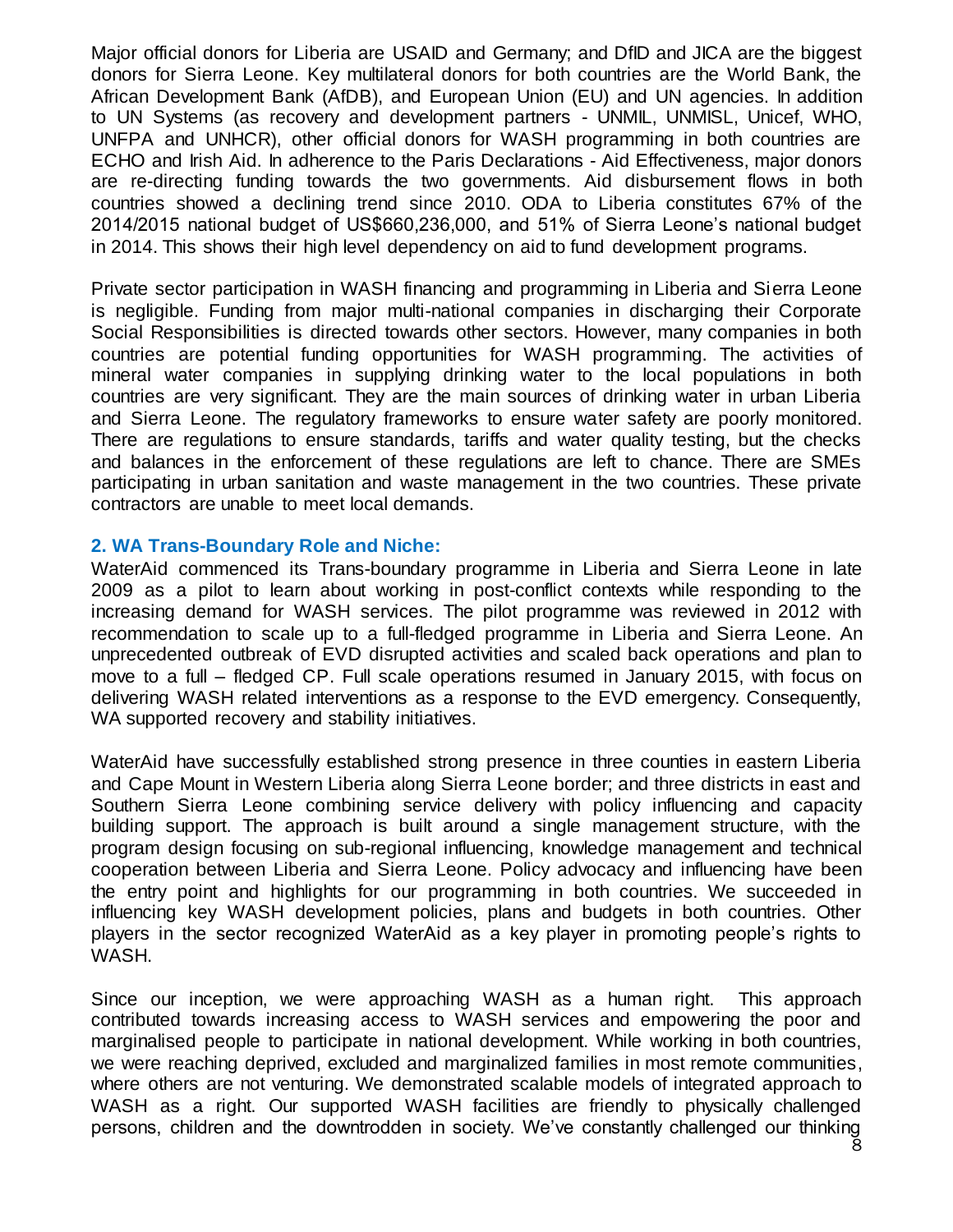Major official donors for Liberia are USAID and Germany; and DfID and JICA are the biggest donors for Sierra Leone. Key multilateral donors for both countries are the World Bank, the African Development Bank (AfDB), and European Union (EU) and UN agencies. In addition to UN Systems (as recovery and development partners - UNMIL, UNMISL, Unicef, WHO, UNFPA and UNHCR), other official donors for WASH programming in both countries are ECHO and Irish Aid. In adherence to the Paris Declarations - Aid Effectiveness, major donors are re-directing funding towards the two governments. Aid disbursement flows in both countries showed a declining trend since 2010. ODA to Liberia constitutes 67% of the 2014/2015 national budget of US\$660,236,000, and 51% of Sierra Leone's national budget in 2014. This shows their high level dependency on aid to fund development programs.

Private sector participation in WASH financing and programming in Liberia and Sierra Leone is negligible. Funding from major multi-national companies in discharging their Corporate Social Responsibilities is directed towards other sectors. However, many companies in both countries are potential funding opportunities for WASH programming. The activities of mineral water companies in supplying drinking water to the local populations in both countries are very significant. They are the main sources of drinking water in urban Liberia and Sierra Leone. The regulatory frameworks to ensure water safety are poorly monitored. There are regulations to ensure standards, tariffs and water quality testing, but the checks and balances in the enforcement of these regulations are left to chance. There are SMEs participating in urban sanitation and waste management in the two countries. These private contractors are unable to meet local demands.

#### **2. WA Trans-Boundary Role and Niche:**

WaterAid commenced its Trans-boundary programme in Liberia and Sierra Leone in late 2009 as a pilot to learn about working in post-conflict contexts while responding to the increasing demand for WASH services. The pilot programme was reviewed in 2012 with recommendation to scale up to a full-fledged programme in Liberia and Sierra Leone. An unprecedented outbreak of EVD disrupted activities and scaled back operations and plan to move to a full – fledged CP. Full scale operations resumed in January 2015, with focus on delivering WASH related interventions as a response to the EVD emergency. Consequently, WA supported recovery and stability initiatives.

WaterAid have successfully established strong presence in three counties in eastern Liberia and Cape Mount in Western Liberia along Sierra Leone border; and three districts in east and Southern Sierra Leone combining service delivery with policy influencing and capacity building support. The approach is built around a single management structure, with the program design focusing on sub-regional influencing, knowledge management and technical cooperation between Liberia and Sierra Leone. Policy advocacy and influencing have been the entry point and highlights for our programming in both countries. We succeeded in influencing key WASH development policies, plans and budgets in both countries. Other players in the sector recognized WaterAid as a key player in promoting people's rights to WASH.

Since our inception, we were approaching WASH as a human right. This approach contributed towards increasing access to WASH services and empowering the poor and marginalised people to participate in national development. While working in both countries, we were reaching deprived, excluded and marginalized families in most remote communities, where others are not venturing. We demonstrated scalable models of integrated approach to WASH as a right. Our supported WASH facilities are friendly to physically challenged persons, children and the downtrodden in society. We've constantly challenged our thinking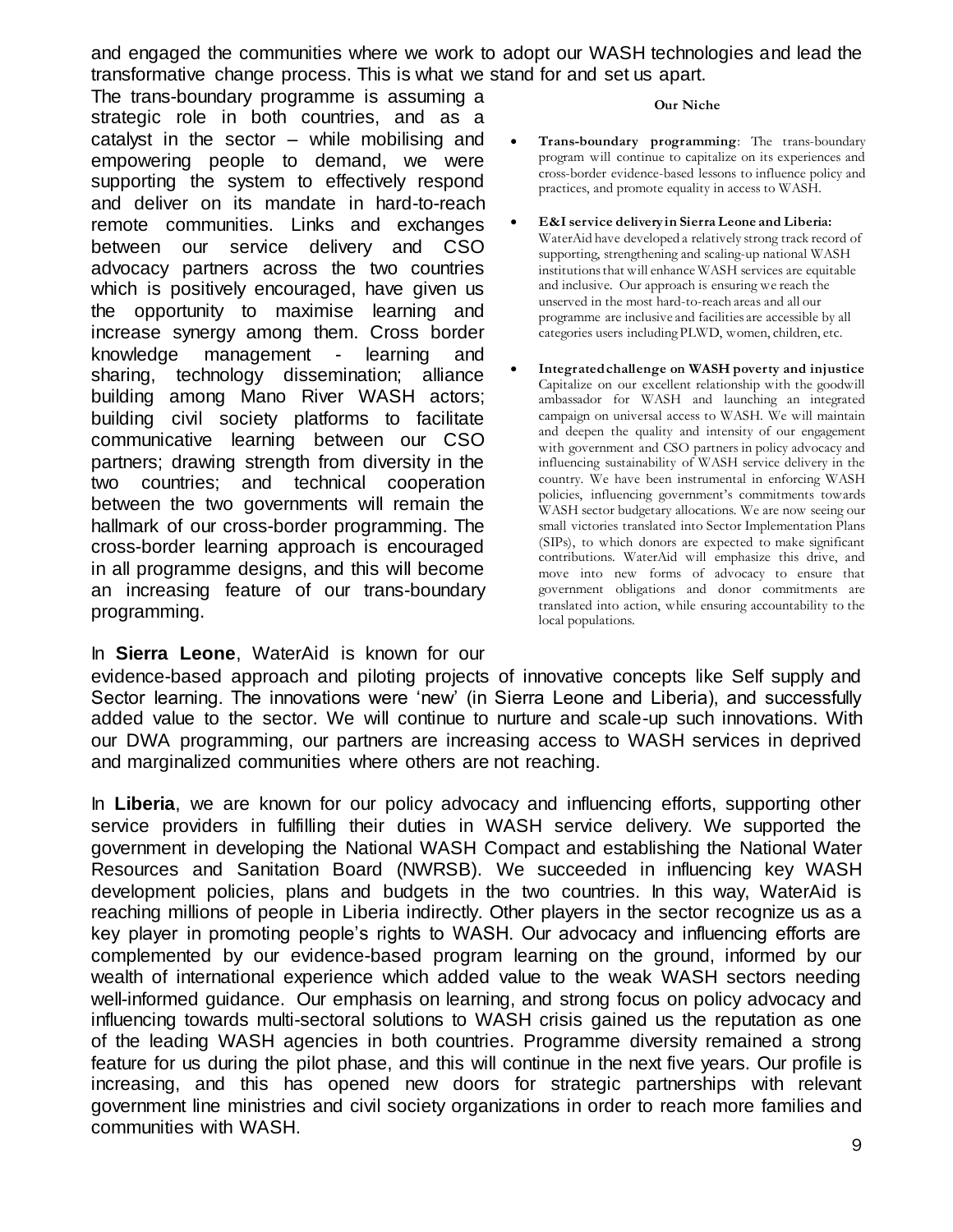and engaged the communities where we work to adopt our WASH technologies and lead the transformative change process. This is what we stand for and set us apart.

The trans-boundary programme is assuming a strategic role in both countries, and as a catalyst in the sector – while mobilising and empowering people to demand, we were supporting the system to effectively respond and deliver on its mandate in hard-to-reach remote communities. Links and exchanges between our service delivery and CSO advocacy partners across the two countries which is positively encouraged, have given us the opportunity to maximise learning and increase synergy among them. Cross border knowledge management - learning and sharing, technology dissemination; alliance building among Mano River WASH actors; building civil society platforms to facilitate communicative learning between our CSO partners; drawing strength from diversity in the two countries; and technical cooperation between the two governments will remain the hallmark of our cross-border programming. The cross-border learning approach is encouraged in all programme designs, and this will become an increasing feature of our trans-boundary programming.

#### In **Sierra Leone**, WaterAid is known for our

#### **Our Niche**

- **Trans-boundary programming**: The trans-boundary program will continue to capitalize on its experiences and cross-border evidence-based lessons to influence policy and practices, and promote equality in access to WASH.
- **E&I service delivery in Sierra Leone and Liberia:** WaterAid have developed a relatively strong track record of supporting, strengthening and scaling-up national WASH institutions that will enhance WASH services are equitable and inclusive. Our approach is ensuring we reach the unserved in the most hard-to-reach areas and all our programme are inclusive and facilities are accessible by all categories users including PLWD, women, children, etc.
- **Integrated challenge on WASH poverty and injustice** Capitalize on our excellent relationship with the goodwill ambassador for WASH and launching an integrated campaign on universal access to WASH. We will maintain and deepen the quality and intensity of our engagement with government and CSO partners in policy advocacy and influencing sustainability of WASH service delivery in the country. We have been instrumental in enforcing WASH policies, influencing government's commitments towards WASH sector budgetary allocations. We are now seeing our small victories translated into Sector Implementation Plans (SIPs), to which donors are expected to make significant contributions. WaterAid will emphasize this drive, and move into new forms of advocacy to ensure that government obligations and donor commitments are translated into action, while ensuring accountability to the local populations.

evidence-based approach and piloting projects of innovative concepts like Self supply and Sector learning. The innovations were 'new' (in Sierra Leone and Liberia), and successfully added value to the sector. We will continue to nurture and scale-up such innovations. With our DWA programming, our partners are increasing access to WASH services in deprived and marginalized communities where others are not reaching.

In **Liberia**, we are known for our policy advocacy and influencing efforts, supporting other service providers in fulfilling their duties in WASH service delivery. We supported the government in developing the National WASH Compact and establishing the National Water Resources and Sanitation Board (NWRSB). We succeeded in influencing key WASH development policies, plans and budgets in the two countries. In this way, WaterAid is reaching millions of people in Liberia indirectly. Other players in the sector recognize us as a key player in promoting people's rights to WASH. Our advocacy and influencing efforts are complemented by our evidence-based program learning on the ground, informed by our wealth of international experience which added value to the weak WASH sectors needing well-informed guidance. Our emphasis on learning, and strong focus on policy advocacy and influencing towards multi-sectoral solutions to WASH crisis gained us the reputation as one of the leading WASH agencies in both countries. Programme diversity remained a strong feature for us during the pilot phase, and this will continue in the next five years. Our profile is increasing, and this has opened new doors for strategic partnerships with relevant government line ministries and civil society organizations in order to reach more families and communities with WASH.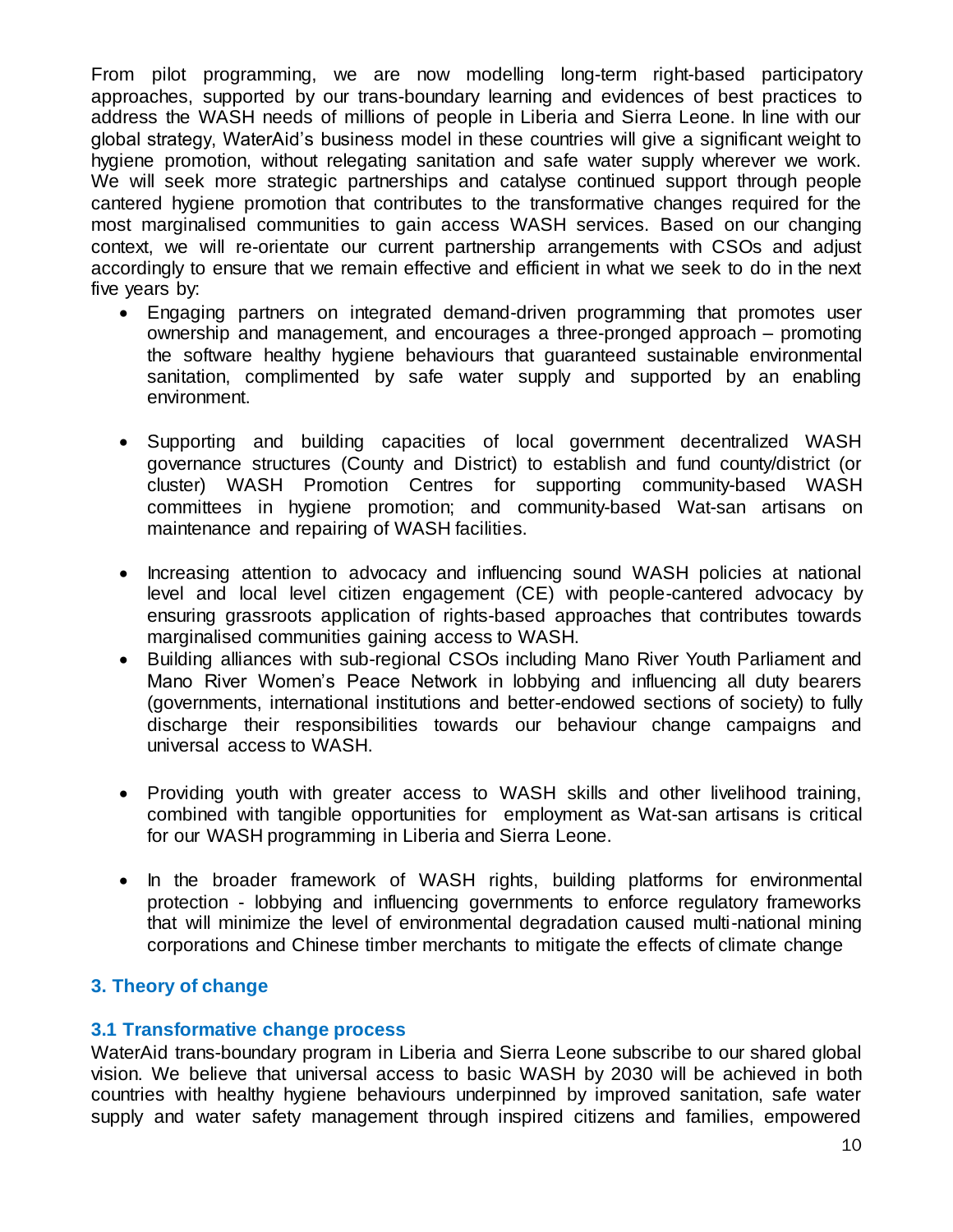From pilot programming, we are now modelling long-term right-based participatory approaches, supported by our trans-boundary learning and evidences of best practices to address the WASH needs of millions of people in Liberia and Sierra Leone. In line with our global strategy, WaterAid's business model in these countries will give a significant weight to hygiene promotion, without relegating sanitation and safe water supply wherever we work. We will seek more strategic partnerships and catalyse continued support through people cantered hygiene promotion that contributes to the transformative changes required for the most marginalised communities to gain access WASH services. Based on our changing context, we will re-orientate our current partnership arrangements with CSOs and adjust accordingly to ensure that we remain effective and efficient in what we seek to do in the next five years by:

- Engaging partners on integrated demand-driven programming that promotes user ownership and management, and encourages a three-pronged approach – promoting the software healthy hygiene behaviours that guaranteed sustainable environmental sanitation, complimented by safe water supply and supported by an enabling environment.
- Supporting and building capacities of local government decentralized WASH governance structures (County and District) to establish and fund county/district (or cluster) WASH Promotion Centres for supporting community-based WASH committees in hygiene promotion; and community-based Wat-san artisans on maintenance and repairing of WASH facilities.
- Increasing attention to advocacy and influencing sound WASH policies at national level and local level citizen engagement (CE) with people-cantered advocacy by ensuring grassroots application of rights-based approaches that contributes towards marginalised communities gaining access to WASH.
- Building alliances with sub-regional CSOs including Mano River Youth Parliament and Mano River Women's Peace Network in lobbying and influencing all duty bearers (governments, international institutions and better-endowed sections of society) to fully discharge their responsibilities towards our behaviour change campaigns and universal access to WASH.
- Providing youth with greater access to WASH skills and other livelihood training, combined with tangible opportunities for employment as Wat-san artisans is critical for our WASH programming in Liberia and Sierra Leone.
- In the broader framework of WASH rights, building platforms for environmental protection - lobbying and influencing governments to enforce regulatory frameworks that will minimize the level of environmental degradation caused multi-national mining corporations and Chinese timber merchants to mitigate the effects of climate change

## **3. Theory of change**

## **3.1 Transformative change process**

WaterAid trans-boundary program in Liberia and Sierra Leone subscribe to our shared global vision. We believe that universal access to basic WASH by 2030 will be achieved in both countries with healthy hygiene behaviours underpinned by improved sanitation, safe water supply and water safety management through inspired citizens and families, empowered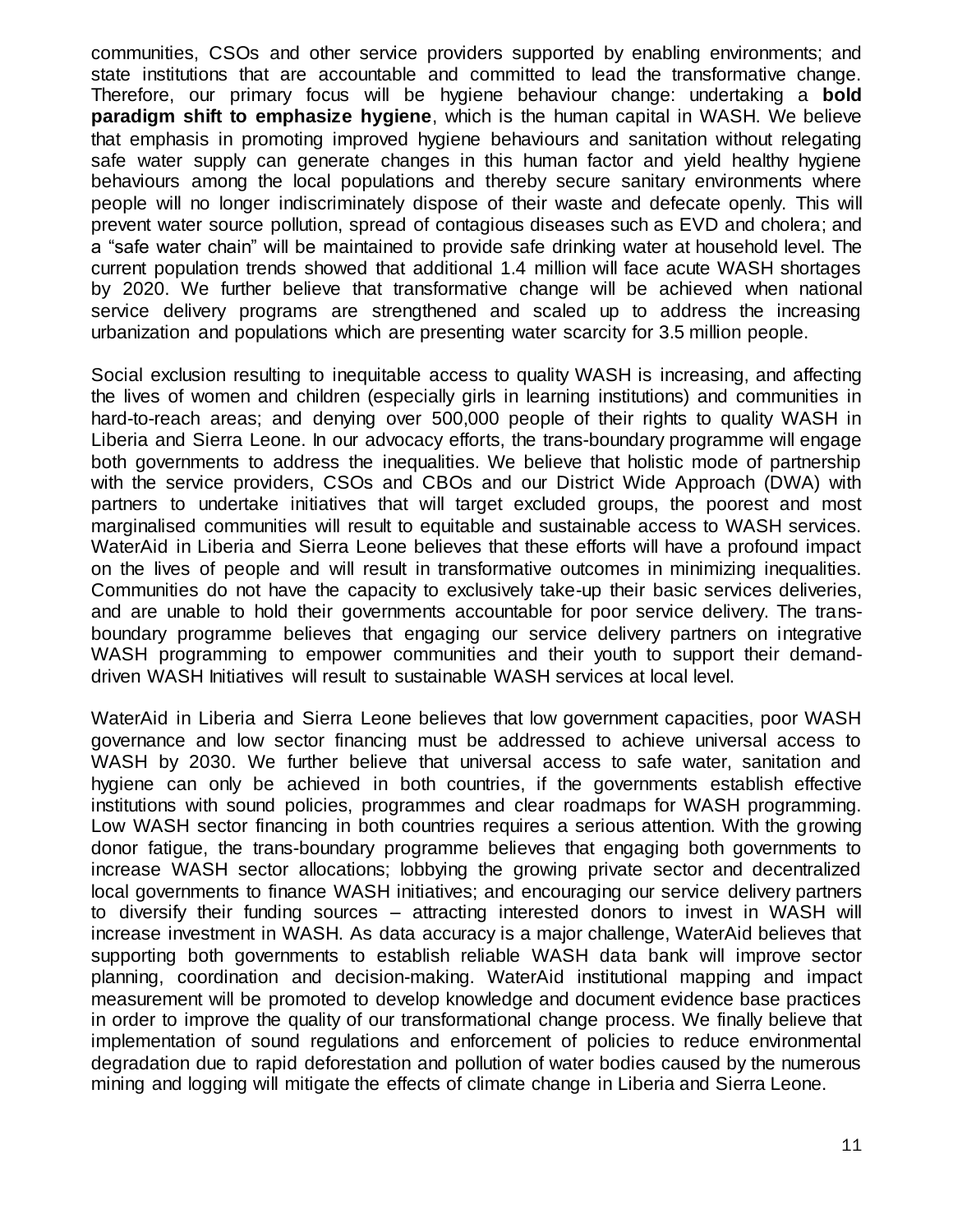communities, CSOs and other service providers supported by enabling environments; and state institutions that are accountable and committed to lead the transformative change. Therefore, our primary focus will be hygiene behaviour change: undertaking a **bold paradigm shift to emphasize hygiene**, which is the human capital in WASH. We believe that emphasis in promoting improved hygiene behaviours and sanitation without relegating safe water supply can generate changes in this human factor and yield healthy hygiene behaviours among the local populations and thereby secure sanitary environments where people will no longer indiscriminately dispose of their waste and defecate openly. This will prevent water source pollution, spread of contagious diseases such as EVD and cholera; and a "safe water chain" will be maintained to provide safe drinking water at household level. The current population trends showed that additional 1.4 million will face acute WASH shortages by 2020. We further believe that transformative change will be achieved when national service delivery programs are strengthened and scaled up to address the increasing urbanization and populations which are presenting water scarcity for 3.5 million people.

Social exclusion resulting to inequitable access to quality WASH is increasing, and affecting the lives of women and children (especially girls in learning institutions) and communities in hard-to-reach areas; and denying over 500,000 people of their rights to quality WASH in Liberia and Sierra Leone. In our advocacy efforts, the trans-boundary programme will engage both governments to address the inequalities. We believe that holistic mode of partnership with the service providers, CSOs and CBOs and our District Wide Approach (DWA) with partners to undertake initiatives that will target excluded groups, the poorest and most marginalised communities will result to equitable and sustainable access to WASH services. WaterAid in Liberia and Sierra Leone believes that these efforts will have a profound impact on the lives of people and will result in transformative outcomes in minimizing inequalities. Communities do not have the capacity to exclusively take-up their basic services deliveries, and are unable to hold their governments accountable for poor service delivery. The transboundary programme believes that engaging our service delivery partners on integrative WASH programming to empower communities and their youth to support their demanddriven WASH Initiatives will result to sustainable WASH services at local level.

WaterAid in Liberia and Sierra Leone believes that low government capacities, poor WASH governance and low sector financing must be addressed to achieve universal access to WASH by 2030. We further believe that universal access to safe water, sanitation and hygiene can only be achieved in both countries, if the governments establish effective institutions with sound policies, programmes and clear roadmaps for WASH programming. Low WASH sector financing in both countries requires a serious attention. With the growing donor fatigue, the trans-boundary programme believes that engaging both governments to increase WASH sector allocations; lobbying the growing private sector and decentralized local governments to finance WASH initiatives; and encouraging our service delivery partners to diversify their funding sources – attracting interested donors to invest in WASH will increase investment in WASH. As data accuracy is a major challenge, WaterAid believes that supporting both governments to establish reliable WASH data bank will improve sector planning, coordination and decision-making. WaterAid institutional mapping and impact measurement will be promoted to develop knowledge and document evidence base practices in order to improve the quality of our transformational change process. We finally believe that implementation of sound regulations and enforcement of policies to reduce environmental degradation due to rapid deforestation and pollution of water bodies caused by the numerous mining and logging will mitigate the effects of climate change in Liberia and Sierra Leone.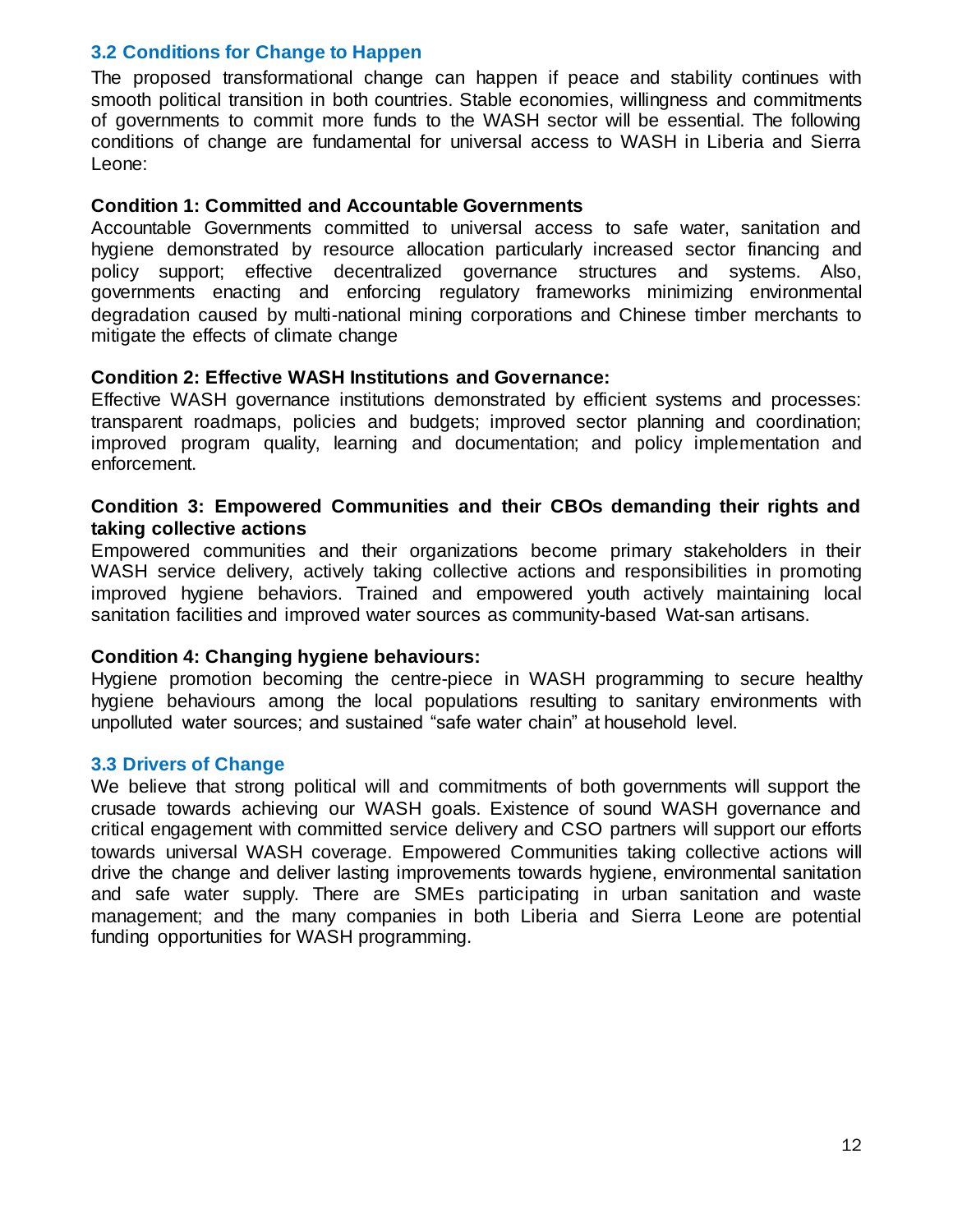## **3.2 Conditions for Change to Happen**

The proposed transformational change can happen if peace and stability continues with smooth political transition in both countries. Stable economies, willingness and commitments of governments to commit more funds to the WASH sector will be essential. The following conditions of change are fundamental for universal access to WASH in Liberia and Sierra Leone:

#### **Condition 1: Committed and Accountable Governments**

Accountable Governments committed to universal access to safe water, sanitation and hygiene demonstrated by resource allocation particularly increased sector financing and policy support; effective decentralized governance structures and systems. Also, governments enacting and enforcing regulatory frameworks minimizing environmental degradation caused by multi-national mining corporations and Chinese timber merchants to mitigate the effects of climate change

#### **Condition 2: Effective WASH Institutions and Governance:**

Effective WASH governance institutions demonstrated by efficient systems and processes: transparent roadmaps, policies and budgets; improved sector planning and coordination; improved program quality, learning and documentation; and policy implementation and enforcement.

#### **Condition 3: Empowered Communities and their CBOs demanding their rights and taking collective actions**

Empowered communities and their organizations become primary stakeholders in their WASH service delivery, actively taking collective actions and responsibilities in promoting improved hygiene behaviors. Trained and empowered youth actively maintaining local sanitation facilities and improved water sources as community-based Wat-san artisans.

#### **Condition 4: Changing hygiene behaviours:**

Hygiene promotion becoming the centre-piece in WASH programming to secure healthy hygiene behaviours among the local populations resulting to sanitary environments with unpolluted water sources; and sustained "safe water chain" at household level.

#### **3.3 Drivers of Change**

We believe that strong political will and commitments of both governments will support the crusade towards achieving our WASH goals. Existence of sound WASH governance and critical engagement with committed service delivery and CSO partners will support our efforts towards universal WASH coverage. Empowered Communities taking collective actions will drive the change and deliver lasting improvements towards hygiene, environmental sanitation and safe water supply. There are SMEs participating in urban sanitation and waste management; and the many companies in both Liberia and Sierra Leone are potential funding opportunities for WASH programming.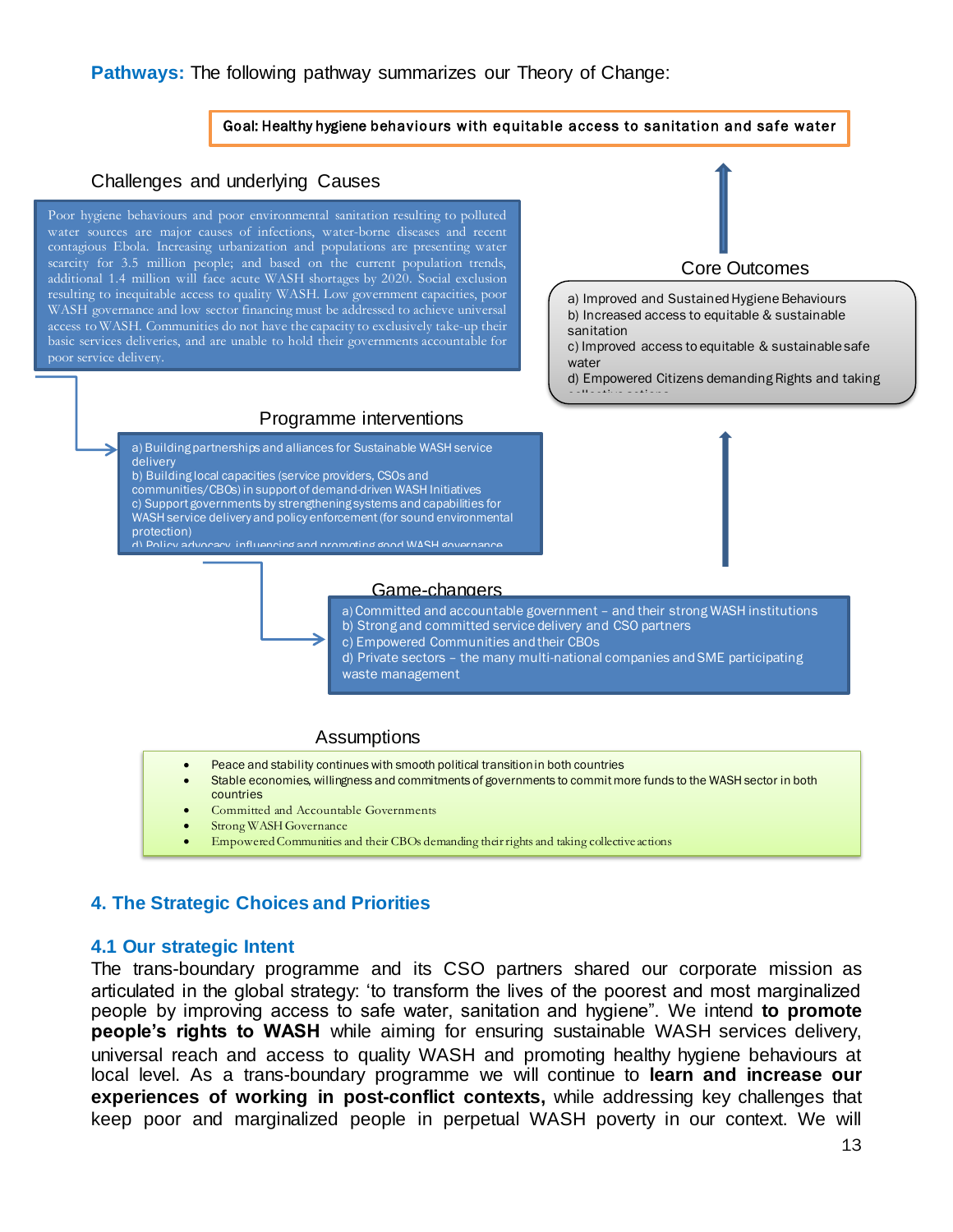#### **Pathways:** The following pathway summarizes our Theory of Change:

Goal: Healthy hygiene behaviours with equitable access to sanitation and safe water

#### Challenges and underlying Causes

scarcity for 3.5 million people; and based on the current population trends,<br>edditional 1.4 million will face agains WASH shortesse by 2020. Social anglysion WASH governance and low sector financing must be addressed to achieve universal Poor hygiene behaviours and poor environmental sanitation resulting to polluted additional 1.4 million will face acute WASH shortages by 2020. Social exclusion resulting to inequitable access to quality WASH. Low government capacities, poor access to WASH. Communities do not have the capacity to exclusively take-up their basic services deliveries, and are unable to hold their governments accountable for poor service delivery.



a) Building partnerships and alliances for Sustainable WASH service delivery

Programme interventions

b) Building local capacities (service providers, CSOs and communities/CBOs) in support of demand-driven WASH Initiatives c) Support governments by strengthening systems and capabilities for WASH service delivery and policy enforcement (for sound environmental protection)

d) Policy advocacy, influencing and promoting good WASH governance e) Local Fund Raising through private sector and local governments

#### Game-changers

a) Committed and accountable government – and their strong WASH institutions b) Strong and committed service delivery and CSO partners

c) Empowered Communities and their CBOs

d) Private sectors – the many multi-national companies and SME participating waste management

#### **Assumptions**

- Peace and stability continues with smooth political transition in both countries
- Stable economies, willingness and commitments of governments to commit more funds to the WASH sector in both
- countries
- Committed and Accountable Governments

: Changing sustained hygiene behaviours

- Strong WASH Governance
- Empowered Communities and their CBOs demanding their rights and taking collective actions

#### **4. The Strategic Choices and Priorities**

#### **4.1 Our strategic Intent**

The trans-boundary programme and its CSO partners shared our corporate mission as articulated in the global strategy: 'to transform the lives of the poorest and most marginalized people by improving access to safe water, sanitation and hygiene". We intend **to promote people's rights to WASH** while aiming for ensuring sustainable WASH services delivery, universal reach and access to quality WASH and promoting healthy hygiene behaviours at local level. As a trans-boundary programme we will continue to **learn and increase our experiences of working in post-conflict contexts,** while addressing key challenges that keep poor and marginalized people in perpetual WASH poverty in our context. We will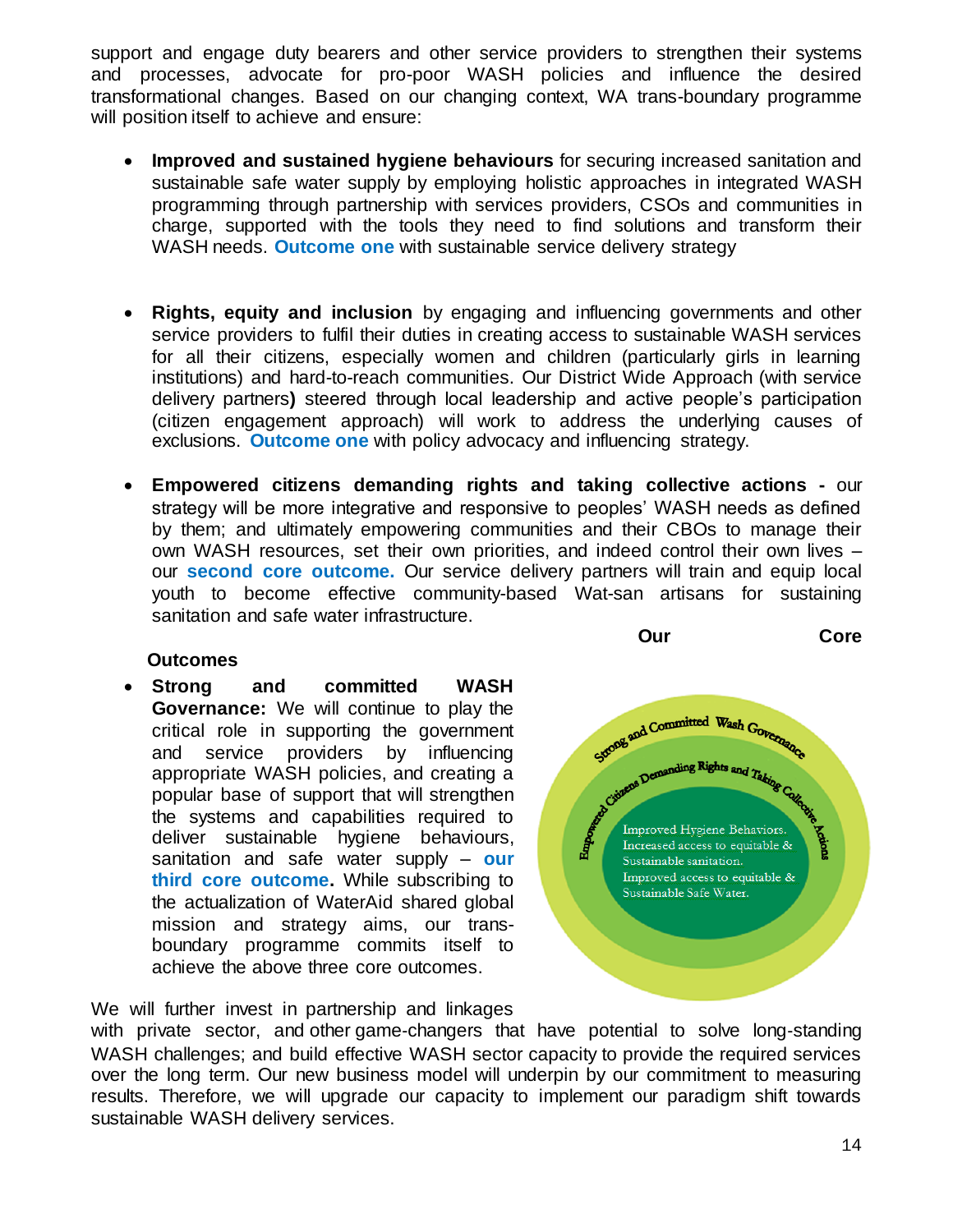support and engage duty bearers and other service providers to strengthen their systems and processes, advocate for pro-poor WASH policies and influence the desired transformational changes. Based on our changing context, WA trans-boundary programme will position itself to achieve and ensure:

- **Improved and sustained hygiene behaviours** for securing increased sanitation and sustainable safe water supply by employing holistic approaches in integrated WASH programming through partnership with services providers, CSOs and communities in charge, supported with the tools they need to find solutions and transform their WASH needs. **Outcome one** with sustainable service delivery strategy
- **Rights, equity and inclusion** by engaging and influencing governments and other service providers to fulfil their duties in creating access to sustainable WASH services for all their citizens, especially women and children (particularly girls in learning institutions) and hard-to-reach communities. Our District Wide Approach (with service delivery partners**)** steered through local leadership and active people's participation (citizen engagement approach) will work to address the underlying causes of exclusions. **Outcome one** with policy advocacy and influencing strategy.
- **Empowered citizens demanding rights and taking collective actions -** our strategy will be more integrative and responsive to peoples' WASH needs as defined by them; and ultimately empowering communities and their CBOs to manage their own WASH resources, set their own priorities, and indeed control their own lives – our **second core outcome.** Our service delivery partners will train and equip local youth to become effective community-based Wat-san artisans for sustaining sanitation and safe water infrastructure.

*Core* **Core** *Core* 

#### **Outcomes**

 **Strong and committed WASH Governance:** We will continue to play the critical role in supporting the government and service providers by influencing appropriate WASH policies, and creating a popular base of support that will strengthen the systems and capabilities required to deliver sustainable hygiene behaviours, sanitation and safe water supply – **our third core outcome.** While subscribing to the actualization of WaterAid shared global mission and strategy aims, our transboundary programme commits itself to achieve the above three core outcomes.

Strong and Committed Wash Governance Giveon Demanding Rights and Taking Colo Improved Hygiene Behaviors. Increased access to equitable & Sustainable sanitation. Improved access to equitable & Sustainable Safe Water.

We will further invest in partnership and linkages

with private sector, and other game-changers that have potential to solve long-standing WASH challenges; and build effective WASH sector capacity to provide the required services over the long term. Our new business model will underpin by our commitment to measuring results. Therefore, we will upgrade our capacity to implement our paradigm shift towards sustainable WASH delivery services.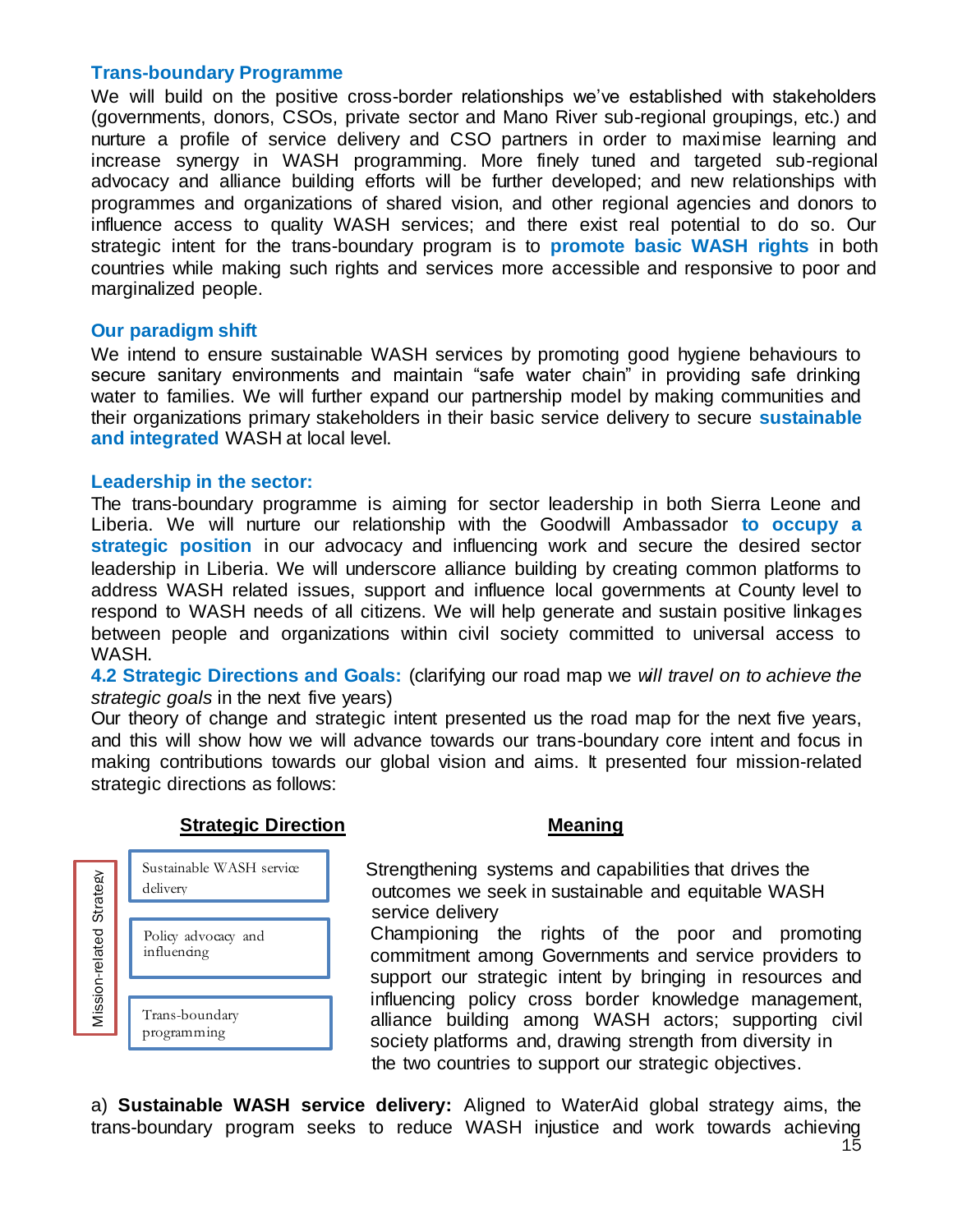#### **Trans-boundary Programme**

We will build on the positive cross-border relationships we've established with stakeholders (governments, donors, CSOs, private sector and Mano River sub-regional groupings, etc.) and nurture a profile of service delivery and CSO partners in order to maximise learning and increase synergy in WASH programming. More finely tuned and targeted sub-regional advocacy and alliance building efforts will be further developed; and new relationships with programmes and organizations of shared vision, and other regional agencies and donors to influence access to quality WASH services; and there exist real potential to do so. Our strategic intent for the trans-boundary program is to **promote basic WASH rights** in both countries while making such rights and services more accessible and responsive to poor and marginalized people.

#### **Our paradigm shift**

We intend to ensure sustainable WASH services by promoting good hygiene behaviours to secure sanitary environments and maintain "safe water chain" in providing safe drinking water to families. We will further expand our partnership model by making communities and their organizations primary stakeholders in their basic service delivery to secure **sustainable and integrated** WASH at local level.

#### **Leadership in the sector:**

The trans-boundary programme is aiming for sector leadership in both Sierra Leone and Liberia. We will nurture our relationship with the Goodwill Ambassador **to occupy a strategic position** in our advocacy and influencing work and secure the desired sector leadership in Liberia. We will underscore alliance building by creating common platforms to address WASH related issues, support and influence local governments at County level to respond to WASH needs of all citizens. We will help generate and sustain positive linkages between people and organizations within civil society committed to universal access to WASH.

**4.2 Strategic Directions and Goals:** (clarifying our road map we *will travel on to achieve the strategic goals* in the next five years)

Our theory of change and strategic intent presented us the road map for the next five years, and this will show how we will advance towards our trans-boundary core intent and focus in making contributions towards our global vision and aims. It presented four mission-related strategic directions as follows:

#### **Strategic Direction Meaning**



 Strengthening systems and capabilities that drives the outcomes we seek in sustainable and equitable WASH service delivery

Championing the rights of the poor and promoting commitment among Governments and service providers to support our strategic intent by bringing in resources and influencing policy cross border knowledge management, alliance building among WASH actors; supporting civil society platforms and, drawing strength from diversity in the two countries to support our strategic objectives. The community of the political strategy and the strategy and the strategy and service delivery championing the rights of the poor and promoting commitment among Governments and service providers to support our strategic in

a) **Sustainable WASH service delivery:** Aligned to WaterAid global strategy aims, the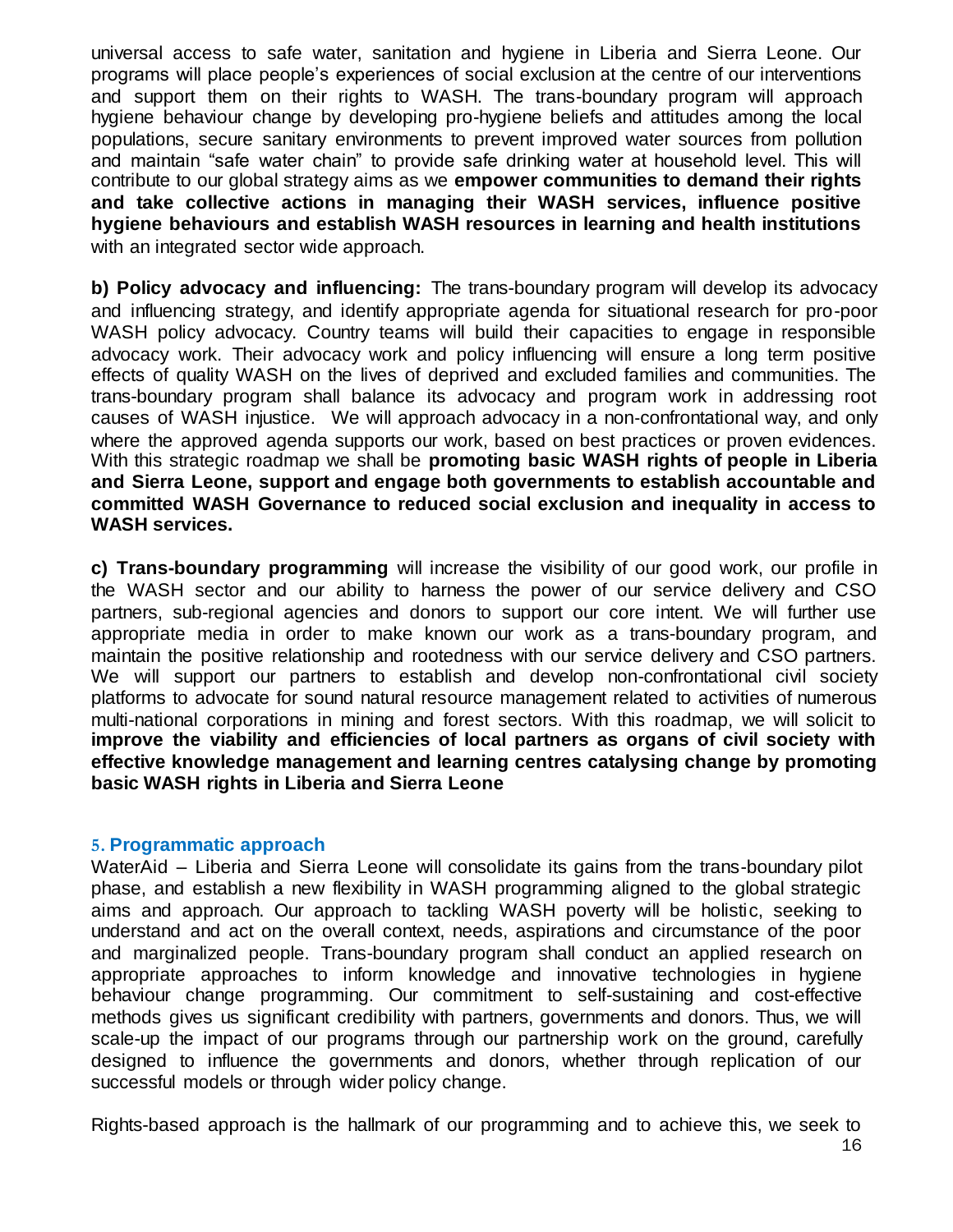universal access to safe water, sanitation and hygiene in Liberia and Sierra Leone. Our programs will place people's experiences of social exclusion at the centre of our interventions and support them on their rights to WASH. The trans-boundary program will approach hygiene behaviour change by developing pro-hygiene beliefs and attitudes among the local populations, secure sanitary environments to prevent improved water sources from pollution and maintain "safe water chain" to provide safe drinking water at household level. This will contribute to our global strategy aims as we **empower communities to demand their rights and take collective actions in managing their WASH services, influence positive hygiene behaviours and establish WASH resources in learning and health institutions** with an integrated sector wide approach.

**b) Policy advocacy and influencing:** The trans-boundary program will develop its advocacy and influencing strategy, and identify appropriate agenda for situational research for pro-poor WASH policy advocacy. Country teams will build their capacities to engage in responsible advocacy work. Their advocacy work and policy influencing will ensure a long term positive effects of quality WASH on the lives of deprived and excluded families and communities. The trans-boundary program shall balance its advocacy and program work in addressing root causes of WASH injustice. We will approach advocacy in a non‐confrontational way, and only where the approved agenda supports our work, based on best practices or proven evidences. With this strategic roadmap we shall be **promoting basic WASH rights of people in Liberia and Sierra Leone, support and engage both governments to establish accountable and committed WASH Governance to reduced social exclusion and inequality in access to WASH services.**

**c) Trans-boundary programming** will increase the visibility of our good work, our profile in the WASH sector and our ability to harness the power of our service delivery and CSO partners, sub-regional agencies and donors to support our core intent. We will further use appropriate media in order to make known our work as a trans-boundary program, and maintain the positive relationship and rootedness with our service delivery and CSO partners. We will support our partners to establish and develop non-confrontational civil society platforms to advocate for sound natural resource management related to activities of numerous multi-national corporations in mining and forest sectors. With this roadmap, we will solicit to **improve the viability and efficiencies of local partners as organs of civil society with effective knowledge management and learning centres catalysing change by promoting basic WASH rights in Liberia and Sierra Leone**

#### **5. Programmatic approach**

WaterAid – Liberia and Sierra Leone will consolidate its gains from the trans-boundary pilot phase, and establish a new flexibility in WASH programming aligned to the global strategic aims and approach. Our approach to tackling WASH poverty will be holistic, seeking to understand and act on the overall context, needs, aspirations and circumstance of the poor and marginalized people. Trans-boundary program shall conduct an applied research on appropriate approaches to inform knowledge and innovative technologies in hygiene behaviour change programming. Our commitment to self-sustaining and cost-effective methods gives us significant credibility with partners, governments and donors. Thus, we will scale-up the impact of our programs through our partnership work on the ground, carefully designed to influence the governments and donors, whether through replication of our successful models or through wider policy change.

Rights-based approach is the hallmark of our programming and to achieve this, we seek to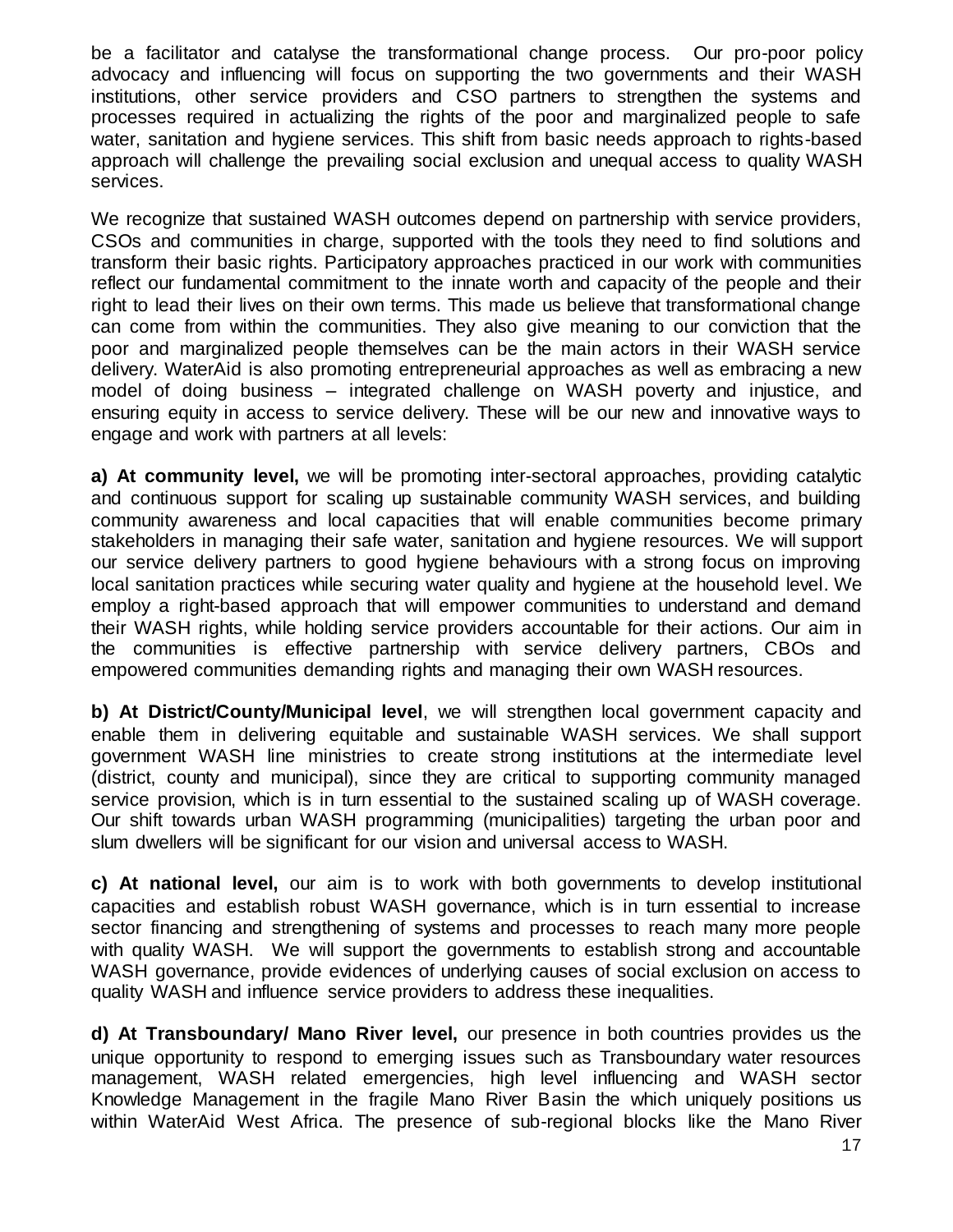be a facilitator and catalyse the transformational change process. Our pro-poor policy advocacy and influencing will focus on supporting the two governments and their WASH institutions, other service providers and CSO partners to strengthen the systems and processes required in actualizing the rights of the poor and marginalized people to safe water, sanitation and hygiene services. This shift from basic needs approach to rights-based approach will challenge the prevailing social exclusion and unequal access to quality WASH services.

We recognize that sustained WASH outcomes depend on partnership with service providers, CSOs and communities in charge, supported with the tools they need to find solutions and transform their basic rights. Participatory approaches practiced in our work with communities reflect our fundamental commitment to the innate worth and capacity of the people and their right to lead their lives on their own terms. This made us believe that transformational change can come from within the communities. They also give meaning to our conviction that the poor and marginalized people themselves can be the main actors in their WASH service delivery. WaterAid is also promoting entrepreneurial approaches as well as embracing a new model of doing business – integrated challenge on WASH poverty and injustice, and ensuring equity in access to service delivery. These will be our new and innovative ways to engage and work with partners at all levels:

**a) At community level,** we will be promoting inter-sectoral approaches, providing catalytic and continuous support for scaling up sustainable community WASH services, and building community awareness and local capacities that will enable communities become primary stakeholders in managing their safe water, sanitation and hygiene resources. We will support our service delivery partners to good hygiene behaviours with a strong focus on improving local sanitation practices while securing water quality and hygiene at the household level. We employ a right-based approach that will empower communities to understand and demand their WASH rights, while holding service providers accountable for their actions. Our aim in the communities is effective partnership with service delivery partners, CBOs and empowered communities demanding rights and managing their own WASH resources.

**b) At District/County/Municipal level**, we will strengthen local government capacity and enable them in delivering equitable and sustainable WASH services. We shall support government WASH line ministries to create strong institutions at the intermediate level (district, county and municipal), since they are critical to supporting community managed service provision, which is in turn essential to the sustained scaling up of WASH coverage. Our shift towards urban WASH programming (municipalities) targeting the urban poor and slum dwellers will be significant for our vision and universal access to WASH.

**c) At national level,** our aim is to work with both governments to develop institutional capacities and establish robust WASH governance, which is in turn essential to increase sector financing and strengthening of systems and processes to reach many more people with quality WASH. We will support the governments to establish strong and accountable WASH governance, provide evidences of underlying causes of social exclusion on access to quality WASH and influence service providers to address these inequalities.

**d) At Transboundary/ Mano River level,** our presence in both countries provides us the unique opportunity to respond to emerging issues such as Transboundary water resources management, WASH related emergencies, high level influencing and WASH sector Knowledge Management in the fragile Mano River Basin the which uniquely positions us within WaterAid West Africa. The presence of sub-regional blocks like the Mano River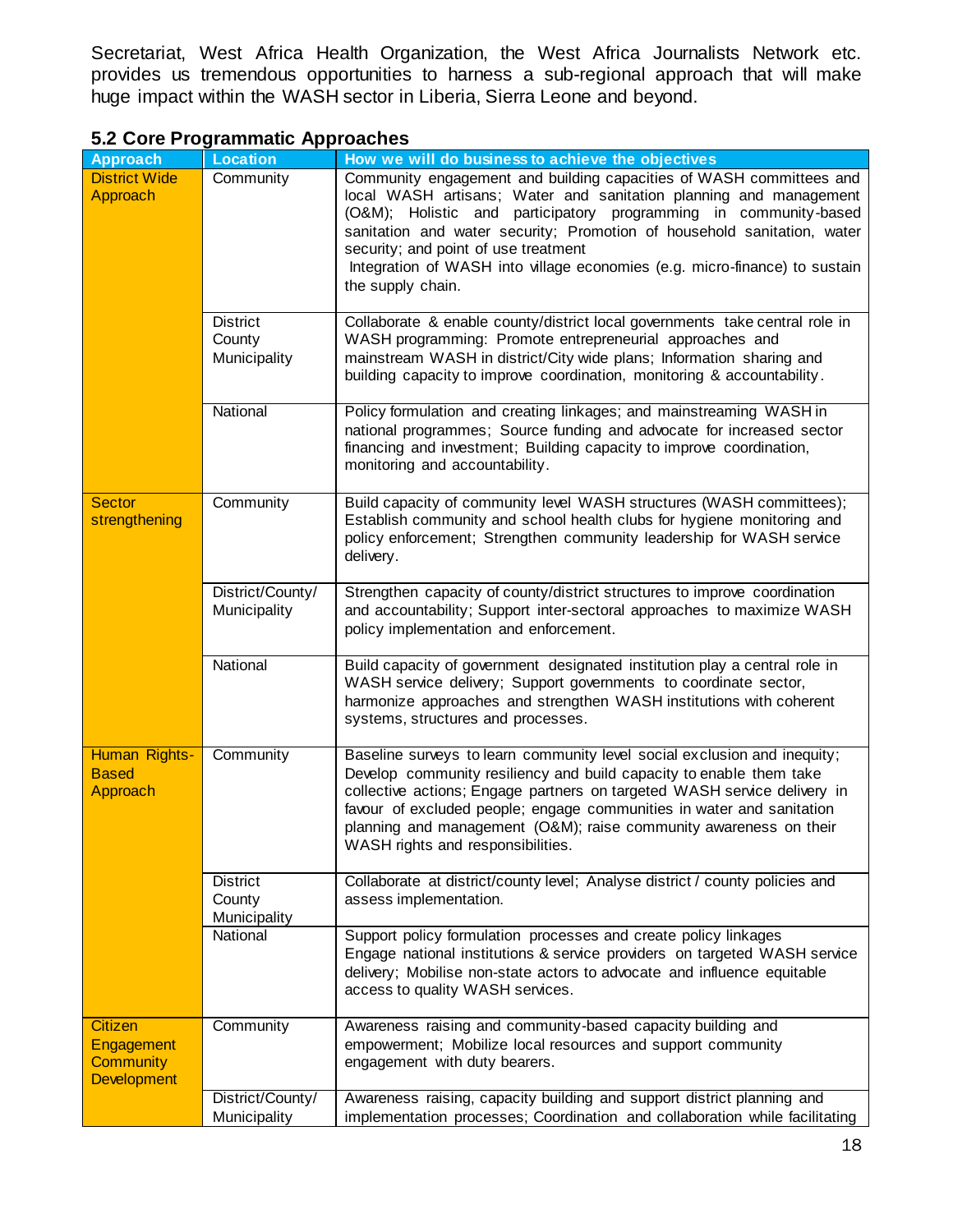Secretariat, West Africa Health Organization, the West Africa Journalists Network etc. provides us tremendous opportunities to harness a sub-regional approach that will make huge impact within the WASH sector in Liberia, Sierra Leone and beyond.

## **5.2 Core Programmatic Approaches**

| <b>Approach</b>                                                        | <b>Location</b>                           | How we will do business to achieve the objectives                                                                                                                                                                                                                                                                                                                                                                                  |  |  |
|------------------------------------------------------------------------|-------------------------------------------|------------------------------------------------------------------------------------------------------------------------------------------------------------------------------------------------------------------------------------------------------------------------------------------------------------------------------------------------------------------------------------------------------------------------------------|--|--|
| <b>District Wide</b><br>Approach                                       | Community                                 | Community engagement and building capacities of WASH committees and<br>local WASH artisans; Water and sanitation planning and management<br>(O&M); Holistic and participatory programming in community-based<br>sanitation and water security; Promotion of household sanitation, water<br>security; and point of use treatment<br>Integration of WASH into village economies (e.g. micro-finance) to sustain<br>the supply chain. |  |  |
|                                                                        | <b>District</b><br>County<br>Municipality | Collaborate & enable county/district local governments take central role in<br>WASH programming: Promote entrepreneurial approaches and<br>mainstream WASH in district/City wide plans; Information sharing and<br>building capacity to improve coordination, monitoring & accountability.                                                                                                                                         |  |  |
|                                                                        | National                                  | Policy formulation and creating linkages; and mainstreaming WASH in<br>national programmes; Source funding and advocate for increased sector<br>financing and investment; Building capacity to improve coordination,<br>monitoring and accountability.                                                                                                                                                                             |  |  |
| <b>Sector</b><br>Community<br>strengthening<br>delivery.               |                                           | Build capacity of community level WASH structures (WASH committees);<br>Establish community and school health clubs for hygiene monitoring and<br>policy enforcement; Strengthen community leadership for WASH service                                                                                                                                                                                                             |  |  |
|                                                                        | District/County/<br>Municipality          | Strengthen capacity of county/district structures to improve coordination<br>and accountability; Support inter-sectoral approaches to maximize WASH<br>policy implementation and enforcement.                                                                                                                                                                                                                                      |  |  |
|                                                                        | National                                  | Build capacity of government designated institution play a central role in<br>WASH service delivery; Support governments to coordinate sector,<br>harmonize approaches and strengthen WASH institutions with coherent<br>systems, structures and processes.                                                                                                                                                                        |  |  |
| Human Rights-<br><b>Based</b><br>Approach                              | Community                                 | Baseline surveys to learn community level social exclusion and inequity;<br>Develop community resiliency and build capacity to enable them take<br>collective actions; Engage partners on targeted WASH service delivery in<br>favour of excluded people; engage communities in water and sanitation<br>planning and management (O&M); raise community awareness on their<br>WASH rights and responsibilities.                     |  |  |
|                                                                        | <b>District</b><br>County<br>Municipality | Collaborate at district/county level; Analyse district / county policies and<br>assess implementation.                                                                                                                                                                                                                                                                                                                             |  |  |
|                                                                        | National                                  | Support policy formulation processes and create policy linkages<br>Engage national institutions & service providers on targeted WASH service<br>delivery; Mobilise non-state actors to advocate and influence equitable<br>access to quality WASH services.                                                                                                                                                                        |  |  |
| <b>Citizen</b><br>Engagement<br><b>Community</b><br><b>Development</b> | Community                                 | Awareness raising and community-based capacity building and<br>empowerment; Mobilize local resources and support community<br>engagement with duty bearers.                                                                                                                                                                                                                                                                        |  |  |
|                                                                        | District/County/<br>Municipality          | Awareness raising, capacity building and support district planning and<br>implementation processes; Coordination and collaboration while facilitating                                                                                                                                                                                                                                                                              |  |  |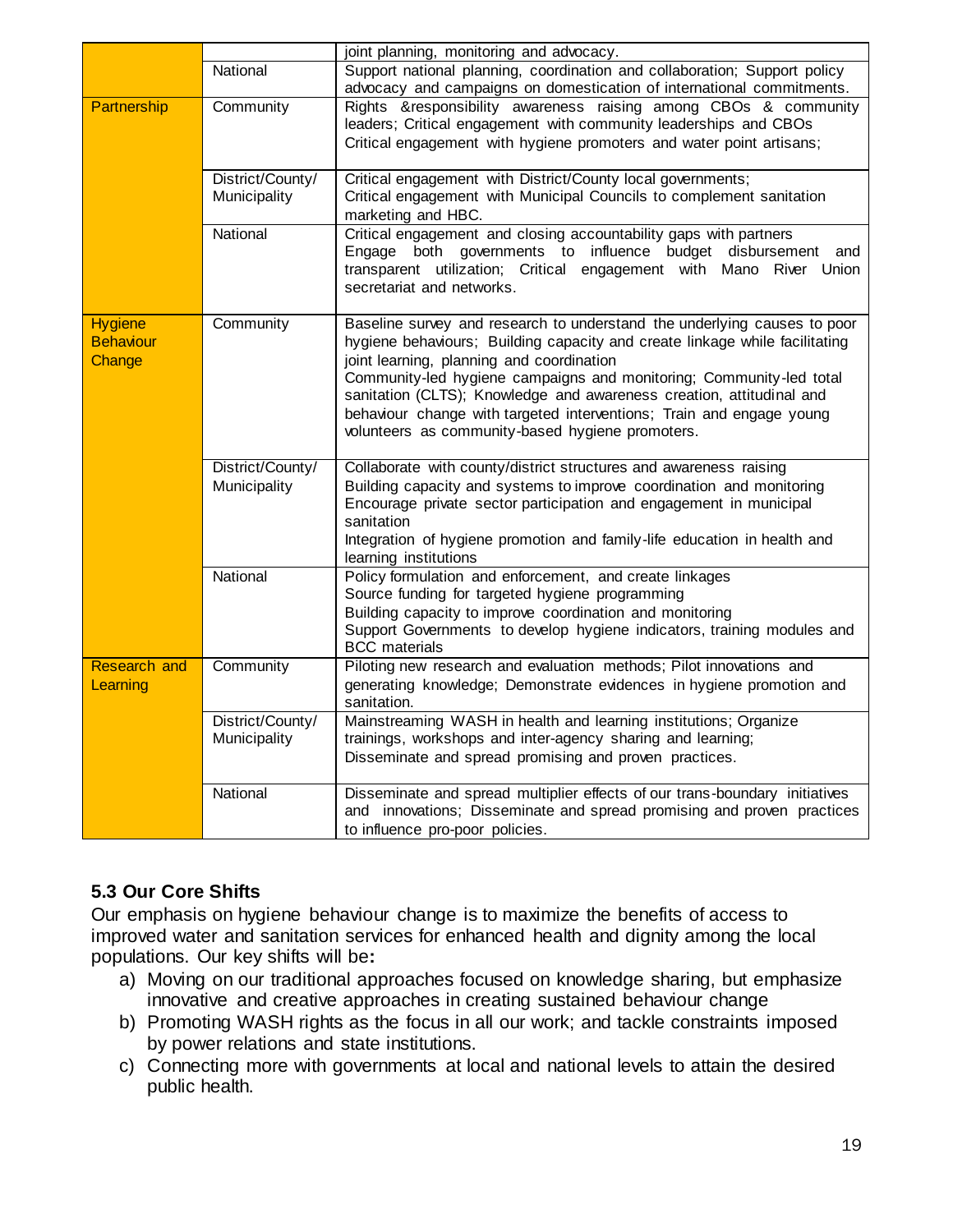|                                              |                                  | joint planning, monitoring and advocacy.                                                                                                                                                                                                                                                                                                                                                                                                                                        |  |  |  |  |
|----------------------------------------------|----------------------------------|---------------------------------------------------------------------------------------------------------------------------------------------------------------------------------------------------------------------------------------------------------------------------------------------------------------------------------------------------------------------------------------------------------------------------------------------------------------------------------|--|--|--|--|
| <b>National</b>                              |                                  | Support national planning, coordination and collaboration; Support policy                                                                                                                                                                                                                                                                                                                                                                                                       |  |  |  |  |
|                                              |                                  | advocacy and campaigns on domestication of international commitments.                                                                                                                                                                                                                                                                                                                                                                                                           |  |  |  |  |
| Partnership                                  | Community                        | Rights & responsibility awareness raising among CBOs & community<br>leaders; Critical engagement with community leaderships and CBOs<br>Critical engagement with hygiene promoters and water point artisans;                                                                                                                                                                                                                                                                    |  |  |  |  |
|                                              | District/County/<br>Municipality | Critical engagement with District/County local governments;<br>Critical engagement with Municipal Councils to complement sanitation<br>marketing and HBC.                                                                                                                                                                                                                                                                                                                       |  |  |  |  |
|                                              | National                         | Critical engagement and closing accountability gaps with partners<br>Engage both governments to influence budget disbursement and<br>transparent utilization; Critical engagement with Mano River Union<br>secretariat and networks.                                                                                                                                                                                                                                            |  |  |  |  |
| <b>Hygiene</b><br><b>Behaviour</b><br>Change | Community                        | Baseline survey and research to understand the underlying causes to poor<br>hygiene behaviours; Building capacity and create linkage while facilitating<br>joint learning, planning and coordination<br>Community-led hygiene campaigns and monitoring; Community-led total<br>sanitation (CLTS); Knowledge and awareness creation, attitudinal and<br>behaviour change with targeted interventions; Train and engage young<br>volunteers as community-based hygiene promoters. |  |  |  |  |
|                                              | District/County/                 | Collaborate with county/district structures and awareness raising                                                                                                                                                                                                                                                                                                                                                                                                               |  |  |  |  |
|                                              | Municipality                     | Building capacity and systems to improve coordination and monitoring<br>Encourage private sector participation and engagement in municipal<br>sanitation<br>Integration of hygiene promotion and family-life education in health and<br>learning institutions                                                                                                                                                                                                                   |  |  |  |  |
|                                              | National                         | Policy formulation and enforcement, and create linkages                                                                                                                                                                                                                                                                                                                                                                                                                         |  |  |  |  |
|                                              |                                  | Source funding for targeted hygiene programming                                                                                                                                                                                                                                                                                                                                                                                                                                 |  |  |  |  |
|                                              |                                  | Building capacity to improve coordination and monitoring<br>Support Governments to develop hygiene indicators, training modules and<br><b>BCC</b> materials                                                                                                                                                                                                                                                                                                                     |  |  |  |  |
| <b>Research and</b><br>Learning              | Community                        | Piloting new research and evaluation methods; Pilot innovations and<br>generating knowledge; Demonstrate evidences in hygiene promotion and<br>sanitation.                                                                                                                                                                                                                                                                                                                      |  |  |  |  |
|                                              | District/County/<br>Municipality | Mainstreaming WASH in health and learning institutions; Organize<br>trainings, workshops and inter-agency sharing and learning;<br>Disseminate and spread promising and proven practices.                                                                                                                                                                                                                                                                                       |  |  |  |  |
|                                              | National                         | Disseminate and spread multiplier effects of our trans-boundary initiatives<br>and innovations; Disseminate and spread promising and proven practices<br>to influence pro-poor policies.                                                                                                                                                                                                                                                                                        |  |  |  |  |

## **5.3 Our Core Shifts**

Our emphasis on hygiene behaviour change is to maximize the benefits of access to improved water and sanitation services for enhanced health and dignity among the local populations. Our key shifts will be**:**

- a) Moving on our traditional approaches focused on knowledge sharing, but emphasize innovative and creative approaches in creating sustained behaviour change
- b) Promoting WASH rights as the focus in all our work; and tackle constraints imposed by power relations and state institutions.
- c) Connecting more with governments at local and national levels to attain the desired public health.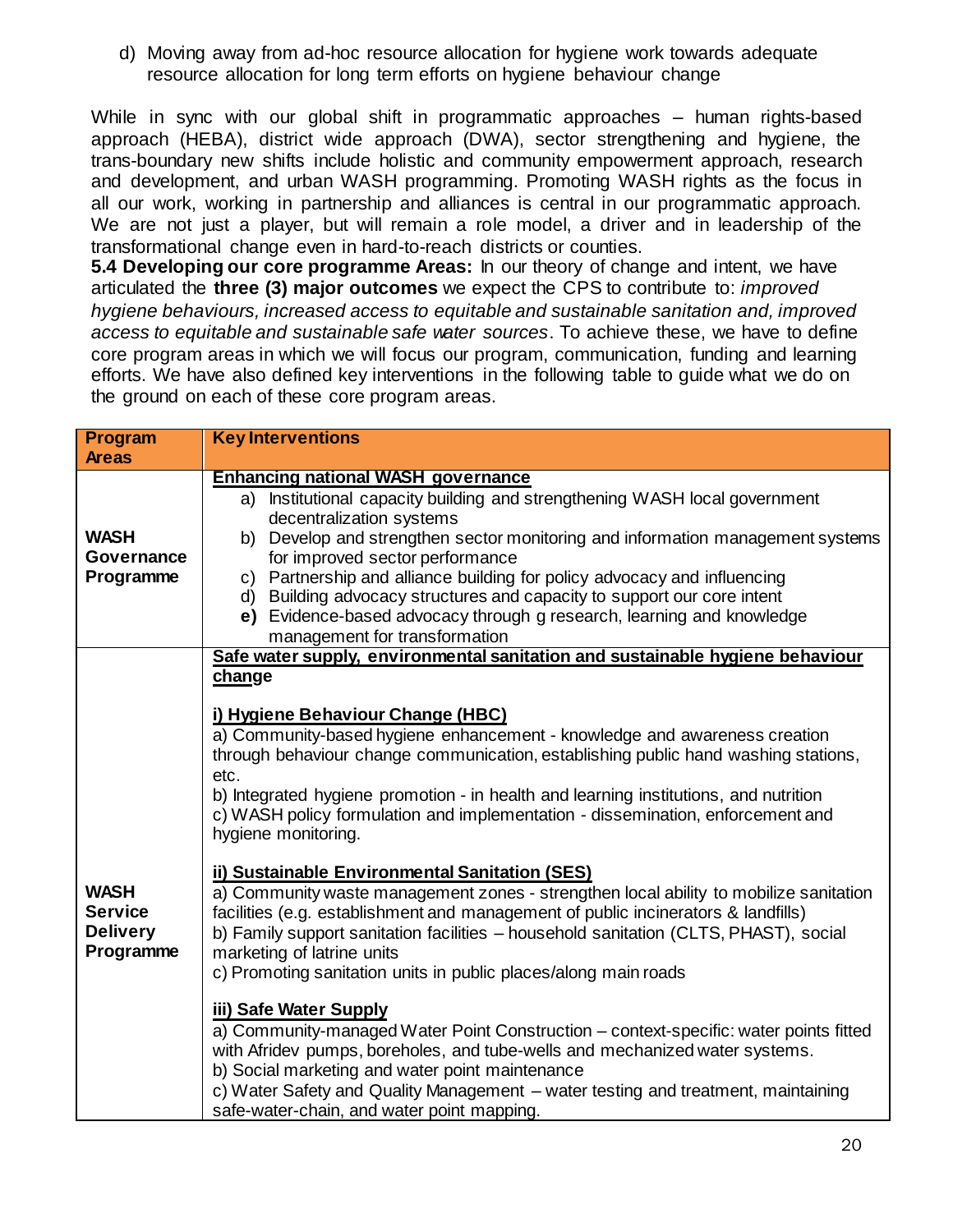d) Moving away from ad-hoc resource allocation for hygiene work towards adequate resource allocation for long term efforts on hygiene behaviour change

While in sync with our global shift in programmatic approaches – human rights-based approach (HEBA), district wide approach (DWA), sector strengthening and hygiene, the trans-boundary new shifts include holistic and community empowerment approach, research and development, and urban WASH programming. Promoting WASH rights as the focus in all our work, working in partnership and alliances is central in our programmatic approach. We are not just a player, but will remain a role model, a driver and in leadership of the transformational change even in hard-to-reach districts or counties.

**5.4 Developing our core programme Areas:** In our theory of change and intent, we have articulated the **three (3) major outcomes** we expect the CPS to contribute to: *improved hygiene behaviours, increased access to equitable and sustainable sanitation and, improved access to equitable and sustainable safe water sources*. To achieve these, we have to define core program areas in which we will focus our program, communication, funding and learning efforts. We have also defined key interventions in the following table to guide what we do on the ground on each of these core program areas.

| <b>Program</b>                                                | <b>Key Interventions</b>                                                                                                                                                                                                                                                                                                                                                                                                                                                                                                                                                                                                                                                                                                                                                                                                                                                                                                                                                                                                                                                                                                                                                                                                                 |
|---------------------------------------------------------------|------------------------------------------------------------------------------------------------------------------------------------------------------------------------------------------------------------------------------------------------------------------------------------------------------------------------------------------------------------------------------------------------------------------------------------------------------------------------------------------------------------------------------------------------------------------------------------------------------------------------------------------------------------------------------------------------------------------------------------------------------------------------------------------------------------------------------------------------------------------------------------------------------------------------------------------------------------------------------------------------------------------------------------------------------------------------------------------------------------------------------------------------------------------------------------------------------------------------------------------|
| <b>Areas</b>                                                  |                                                                                                                                                                                                                                                                                                                                                                                                                                                                                                                                                                                                                                                                                                                                                                                                                                                                                                                                                                                                                                                                                                                                                                                                                                          |
| <b>WASH</b><br>Governance<br>Programme                        | <b>Enhancing national WASH governance</b><br>a) Institutional capacity building and strengthening WASH local government<br>decentralization systems<br>b) Develop and strengthen sector monitoring and information management systems<br>for improved sector performance<br>c) Partnership and alliance building for policy advocacy and influencing<br>d) Building advocacy structures and capacity to support our core intent<br>e) Evidence-based advocacy through g research, learning and knowledge<br>management for transformation                                                                                                                                                                                                                                                                                                                                                                                                                                                                                                                                                                                                                                                                                                |
|                                                               | Safe water supply, environmental sanitation and sustainable hygiene behaviour                                                                                                                                                                                                                                                                                                                                                                                                                                                                                                                                                                                                                                                                                                                                                                                                                                                                                                                                                                                                                                                                                                                                                            |
| <b>WASH</b><br><b>Service</b><br><b>Delivery</b><br>Programme | change<br>i) Hygiene Behaviour Change (HBC)<br>a) Community-based hygiene enhancement - knowledge and awareness creation<br>through behaviour change communication, establishing public hand washing stations,<br>etc.<br>b) Integrated hygiene promotion - in health and learning institutions, and nutrition<br>c) WASH policy formulation and implementation - dissemination, enforcement and<br>hygiene monitoring.<br>ii) Sustainable Environmental Sanitation (SES)<br>a) Community waste management zones - strengthen local ability to mobilize sanitation<br>facilities (e.g. establishment and management of public incinerators & landfills)<br>b) Family support sanitation facilities - household sanitation (CLTS, PHAST), social<br>marketing of latrine units<br>c) Promoting sanitation units in public places/along main roads<br>iii) Safe Water Supply<br>a) Community-managed Water Point Construction - context-specific: water points fitted<br>with Afridev pumps, boreholes, and tube-wells and mechanized water systems.<br>b) Social marketing and water point maintenance<br>c) Water Safety and Quality Management - water testing and treatment, maintaining<br>safe-water-chain, and water point mapping. |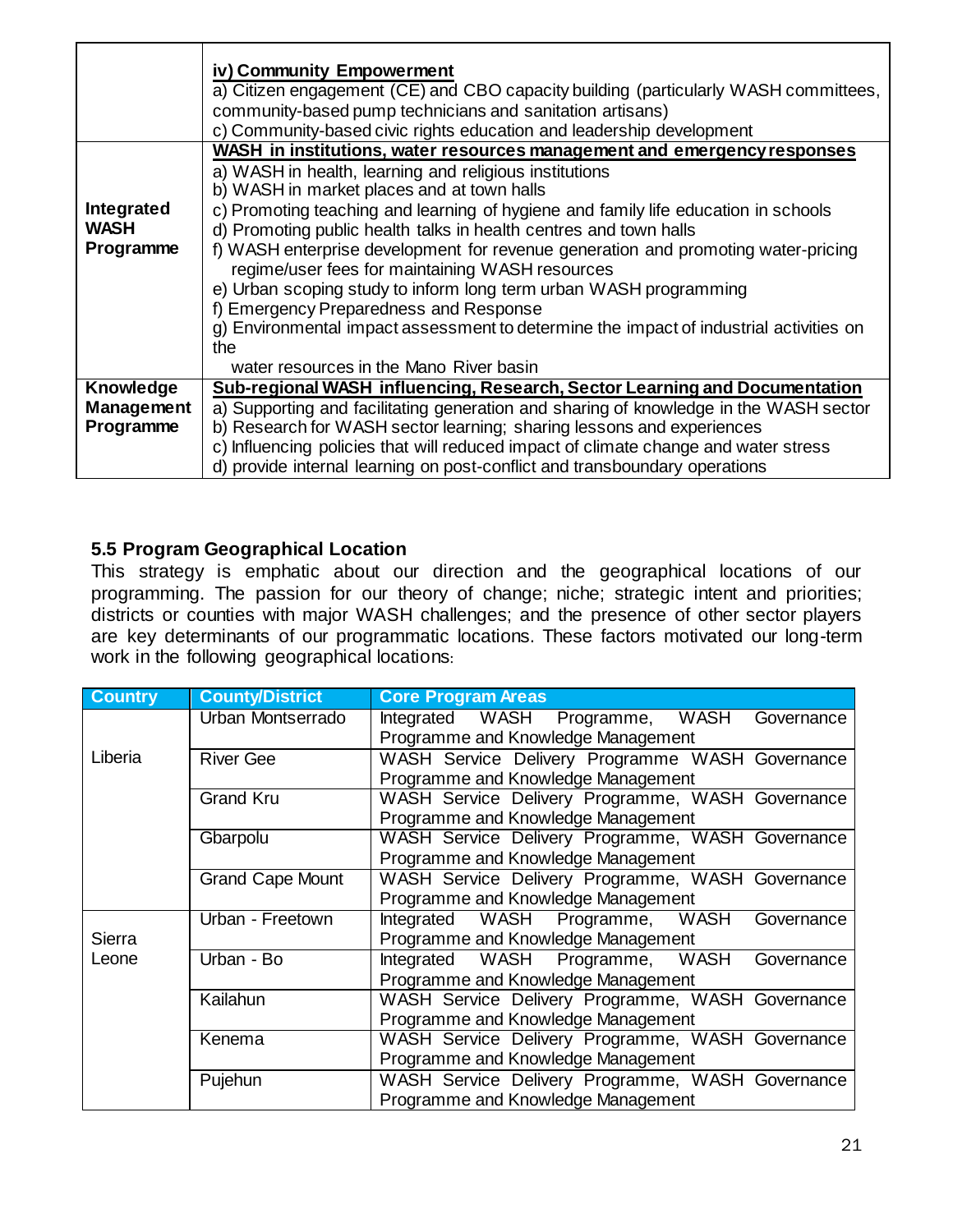|                                        | iv) Community Empowerment<br>a) Citizen engagement (CE) and CBO capacity building (particularly WASH committees,<br>community-based pump technicians and sanitation artisans)<br>c) Community-based civic rights education and leadership development                                                                                                                                                                                                                                                                                                                                                                                                                                                                                          |
|----------------------------------------|------------------------------------------------------------------------------------------------------------------------------------------------------------------------------------------------------------------------------------------------------------------------------------------------------------------------------------------------------------------------------------------------------------------------------------------------------------------------------------------------------------------------------------------------------------------------------------------------------------------------------------------------------------------------------------------------------------------------------------------------|
| Integrated<br><b>WASH</b><br>Programme | WASH in institutions, water resources management and emergency responses<br>a) WASH in health, learning and religious institutions<br>b) WASH in market places and at town halls<br>c) Promoting teaching and learning of hygiene and family life education in schools<br>d) Promoting public health talks in health centres and town halls<br>f) WASH enterprise development for revenue generation and promoting water-pricing<br>regime/user fees for maintaining WASH resources<br>e) Urban scoping study to inform long term urban WASH programming<br>f) Emergency Preparedness and Response<br>g) Environmental impact assessment to determine the impact of industrial activities on<br>the<br>water resources in the Mano River basin |
| Knowledge                              | Sub-regional WASH influencing, Research, Sector Learning and Documentation                                                                                                                                                                                                                                                                                                                                                                                                                                                                                                                                                                                                                                                                     |
| <b>Management</b><br>Programme         | a) Supporting and facilitating generation and sharing of knowledge in the WASH sector<br>b) Research for WASH sector learning; sharing lessons and experiences<br>c) Influencing policies that will reduced impact of climate change and water stress<br>d) provide internal learning on post-conflict and transboundary operations                                                                                                                                                                                                                                                                                                                                                                                                            |

## **5.5 Program Geographical Location**

This strategy is emphatic about our direction and the geographical locations of our programming. The passion for our theory of change; niche; strategic intent and priorities; districts or counties with major WASH challenges; and the presence of other sector players are key determinants of our programmatic locations. These factors motivated our long-term work in the following geographical locations:

| <b>Country</b> | <b>County/District</b>                          | <b>Core Program Areas</b>                        |  |  |  |  |  |  |
|----------------|-------------------------------------------------|--------------------------------------------------|--|--|--|--|--|--|
|                | Urban Montserrado                               | Integrated WASH Programme, WASH<br>Governance    |  |  |  |  |  |  |
|                |                                                 | Programme and Knowledge Management               |  |  |  |  |  |  |
| Liberia        | WASH Service Delivery Programme WASH Governance |                                                  |  |  |  |  |  |  |
|                |                                                 | Programme and Knowledge Management               |  |  |  |  |  |  |
|                | <b>Grand Kru</b>                                | WASH Service Delivery Programme, WASH Governance |  |  |  |  |  |  |
|                |                                                 | Programme and Knowledge Management               |  |  |  |  |  |  |
|                | Gbarpolu                                        | WASH Service Delivery Programme, WASH Governance |  |  |  |  |  |  |
|                |                                                 | Programme and Knowledge Management               |  |  |  |  |  |  |
|                | <b>Grand Cape Mount</b>                         | WASH Service Delivery Programme, WASH Governance |  |  |  |  |  |  |
|                |                                                 | Programme and Knowledge Management               |  |  |  |  |  |  |
|                | Urban - Freetown                                | Integrated WASH Programme, WASH<br>Governance    |  |  |  |  |  |  |
| Sierra         |                                                 | Programme and Knowledge Management               |  |  |  |  |  |  |
| Leone          | Urban - Bo                                      | Integrated WASH Programme, WASH<br>Governance    |  |  |  |  |  |  |
|                |                                                 | Programme and Knowledge Management               |  |  |  |  |  |  |
|                | Kailahun                                        | WASH Service Delivery Programme, WASH Governance |  |  |  |  |  |  |
|                |                                                 | Programme and Knowledge Management               |  |  |  |  |  |  |
|                | Kenema                                          | WASH Service Delivery Programme, WASH Governance |  |  |  |  |  |  |
|                |                                                 | Programme and Knowledge Management               |  |  |  |  |  |  |
|                | Pujehun                                         | WASH Service Delivery Programme, WASH Governance |  |  |  |  |  |  |
|                |                                                 | Programme and Knowledge Management               |  |  |  |  |  |  |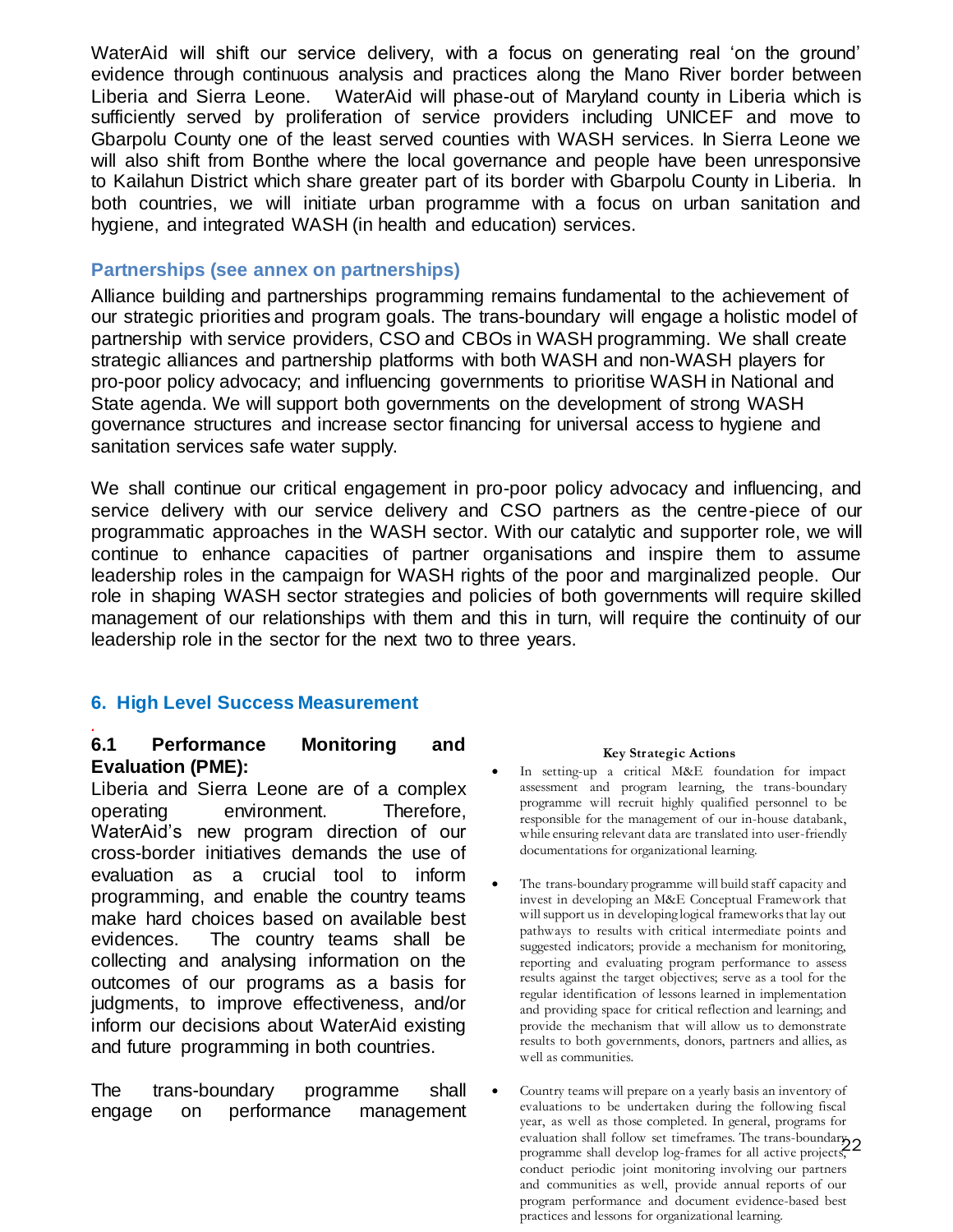WaterAid will shift our service delivery, with a focus on generating real 'on the ground' evidence through continuous analysis and practices along the Mano River border between Liberia and Sierra Leone. WaterAid will phase-out of Maryland county in Liberia which is sufficiently served by proliferation of service providers including UNICEF and move to Gbarpolu County one of the least served counties with WASH services. In Sierra Leone we will also shift from Bonthe where the local governance and people have been unresponsive to Kailahun District which share greater part of its border with Gbarpolu County in Liberia. In both countries, we will initiate urban programme with a focus on urban sanitation and hygiene, and integrated WASH (in health and education) services.

#### **Partnerships (see annex on partnerships)**

Alliance building and partnerships programming remains fundamental to the achievement of our strategic priorities and program goals. The trans-boundary will engage a holistic model of partnership with service providers, CSO and CBOs in WASH programming. We shall create strategic alliances and partnership platforms with both WASH and non-WASH players for pro-poor policy advocacy; and influencing governments to prioritise WASH in National and State agenda. We will support both governments on the development of strong WASH governance structures and increase sector financing for universal access to hygiene and sanitation services safe water supply.

We shall continue our critical engagement in pro-poor policy advocacy and influencing, and service delivery with our service delivery and CSO partners as the centre-piece of our programmatic approaches in the WASH sector. With our catalytic and supporter role, we will continue to enhance capacities of partner organisations and inspire them to assume leadership roles in the campaign for WASH rights of the poor and marginalized people. Our role in shaping WASH sector strategies and policies of both governments will require skilled management of our relationships with them and this in turn, will require the continuity of our leadership role in the sector for the next two to three years.

## **6. High Level Success Measurement**

#### *.* **6.1 Performance Monitoring and Evaluation (PME):**

Liberia and Sierra Leone are of a complex operating environment. Therefore, WaterAid's new program direction of our cross-border initiatives demands the use of evaluation as a crucial tool to inform programming, and enable the country teams make hard choices based on available best evidences. The country teams shall be collecting and analysing information on the outcomes of our programs as a basis for judgments, to improve effectiveness, and/or inform our decisions about WaterAid existing and future programming in both countries.

The trans-boundary programme shall engage on performance management

#### **Key Strategic Actions**

- In setting-up a critical M&E foundation for impact assessment and program learning, the trans-boundary programme will recruit highly qualified personnel to be responsible for the management of our in-house databank, while ensuring relevant data are translated into user-friendly documentations for organizational learning.
- The trans-boundary programme will build staff capacity and invest in developing an M&E Conceptual Framework that will support us in developing logical frameworks that lay out pathways to results with critical intermediate points and suggested indicators; provide a mechanism for monitoring, reporting and evaluating program performance to assess results against the target objectives; serve as a tool for the regular identification of lessons learned in implementation and providing space for critical reflection and learning; and provide the mechanism that will allow us to demonstrate results to both governments, donors, partners and allies, as well as communities.
- evaluation shall follow set timeframes. The trans-boundary 2 Country teams will prepare on a yearly basis an inventory of evaluations to be undertaken during the following fiscal year, as well as those completed. In general, programs for programme shall develop log-frames for all active projects, conduct periodic joint monitoring involving our partners and communities as well, provide annual reports of our program performance and document evidence-based best practices and lessons for organizational learning.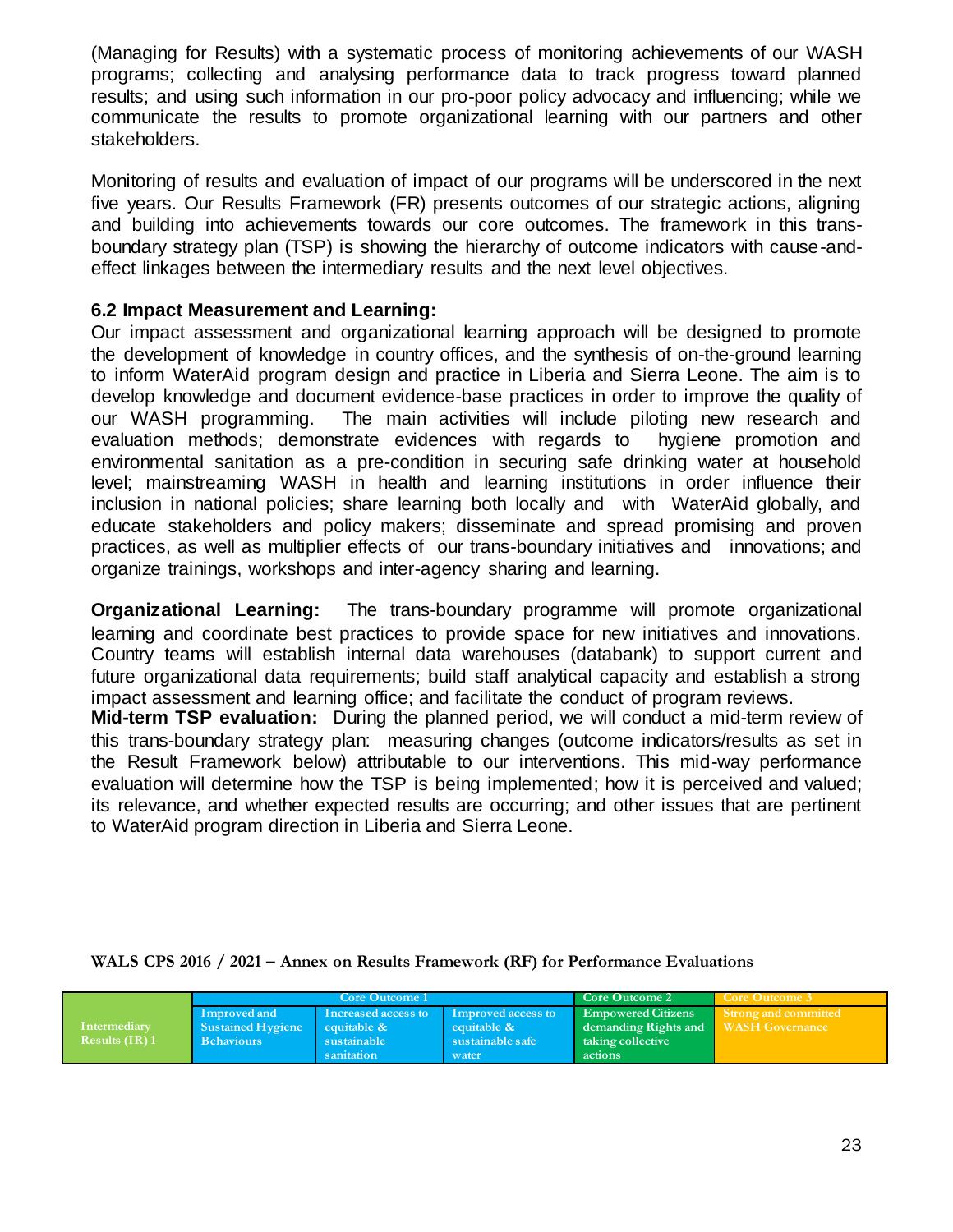(Managing for Results) with a systematic process of monitoring achievements of our WASH programs; collecting and analysing performance data to track progress toward planned results; and using such information in our pro-poor policy advocacy and influencing; while we communicate the results to promote organizational learning with our partners and other stakeholders.

Monitoring of results and evaluation of impact of our programs will be underscored in the next five years. Our Results Framework (FR) presents outcomes of our strategic actions, aligning and building into achievements towards our core outcomes. The framework in this transboundary strategy plan (TSP) is showing the hierarchy of outcome indicators with cause-andeffect linkages between the intermediary results and the next level objectives.

#### **6.2 Impact Measurement and Learning:**

Our impact assessment and organizational learning approach will be designed to promote the development of knowledge in country offices, and the synthesis of on-the-ground learning to inform WaterAid program design and practice in Liberia and Sierra Leone. The aim is to develop knowledge and document evidence-base practices in order to improve the quality of our WASH programming. The main activities will include piloting new research and evaluation methods; demonstrate evidences with regards to hygiene promotion and environmental sanitation as a pre-condition in securing safe drinking water at household level; mainstreaming WASH in health and learning institutions in order influence their inclusion in national policies; share learning both locally and with WaterAid globally, and educate stakeholders and policy makers; disseminate and spread promising and proven practices, as well as multiplier effects of our trans-boundary initiatives and innovations; and organize trainings, workshops and inter-agency sharing and learning.

**Organizational Learning:** The trans-boundary programme will promote organizational learning and coordinate best practices to provide space for new initiatives and innovations. Country teams will establish internal data warehouses (databank) to support current and future organizational data requirements; build staff analytical capacity and establish a strong impact assessment and learning office; and facilitate the conduct of program reviews.

**Mid-term TSP evaluation:** During the planned period, we will conduct a mid-term review of this trans-boundary strategy plan: measuring changes (outcome indicators/results as set in the Result Framework below) attributable to our interventions. This mid-way performance evaluation will determine how the TSP is being implemented; how it is perceived and valued; its relevance, and whether expected results are occurring; and other issues that are pertinent to WaterAid program direction in Liberia and Sierra Leone.

|                                  | <b>Core Outcome 1</b>                         |                               |                                 | Core Outcome 2                                            | Core Outcome 3       |
|----------------------------------|-----------------------------------------------|-------------------------------|---------------------------------|-----------------------------------------------------------|----------------------|
|                                  | Improved and                                  | Increased access to           | Improved access to              | <b>Empowered Citizens</b>                                 | Strong and committed |
| Intermediary<br>Results $(IR)$ 1 | <b>Sustained Hygiene</b><br><b>Behaviours</b> | equitable $\&$<br>sustainable | equitable &<br>sustainable safe | demanding Rights and WASH Governance<br>taking collective |                      |
|                                  |                                               | sanitation                    | water                           | actions                                                   |                      |

#### **WALS CPS 2016 / 2021 – Annex on Results Framework (RF) for Performance Evaluations**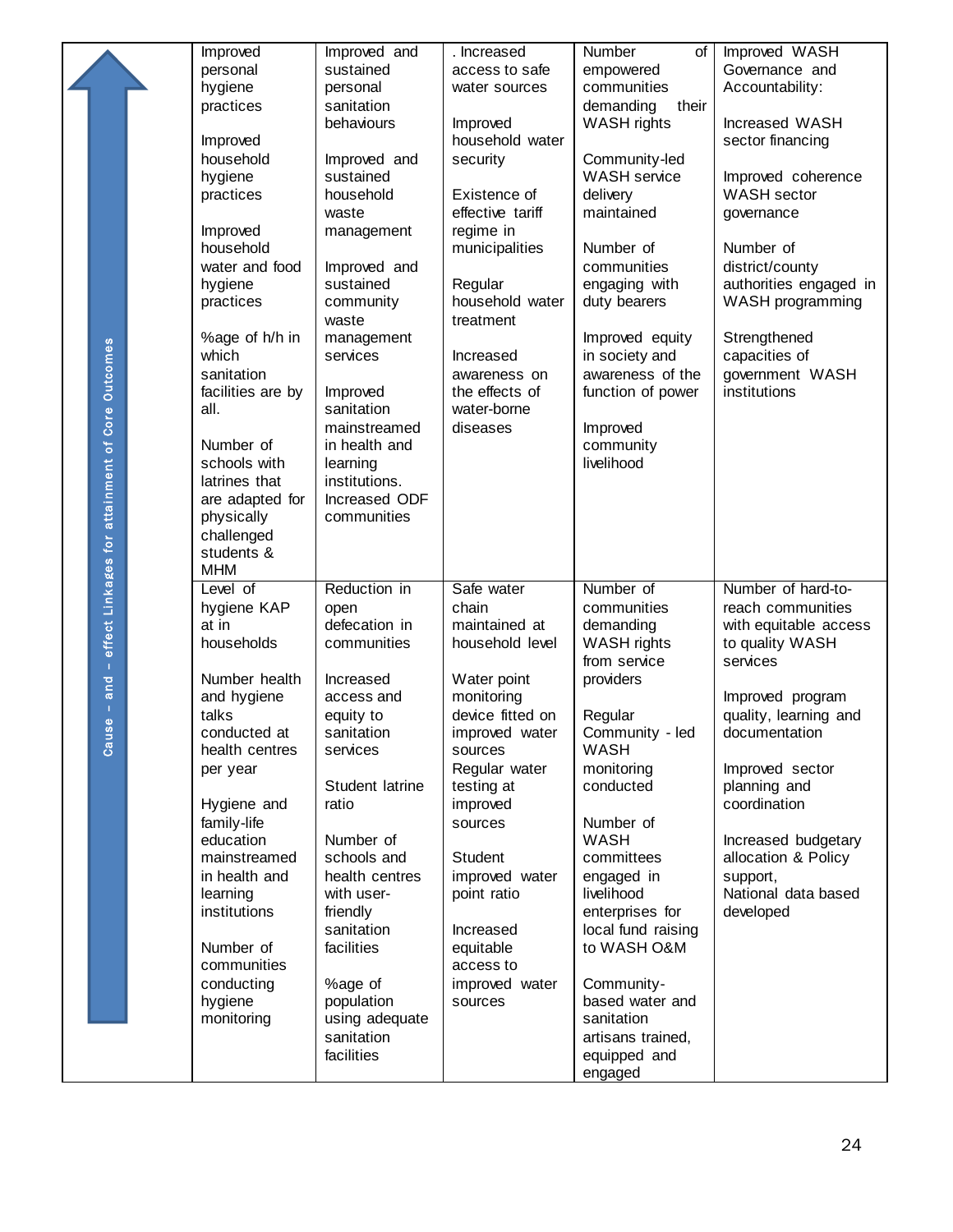|                                   | Improved          | Improved and                  | . Increased      | Number<br>of            | Improved WASH          |
|-----------------------------------|-------------------|-------------------------------|------------------|-------------------------|------------------------|
|                                   | personal          | sustained                     | access to safe   | empowered               | Governance and         |
|                                   | hygiene           | personal                      | water sources    | communities             | Accountability:        |
|                                   | practices         | sanitation                    |                  | demanding<br>their      |                        |
|                                   |                   | behaviours                    | Improved         | <b>WASH</b> rights      | Increased WASH         |
|                                   | Improved          |                               | household water  |                         | sector financing       |
|                                   | household         | Improved and                  | security         | Community-led           |                        |
|                                   | hygiene           | sustained                     |                  | <b>WASH</b> service     | Improved coherence     |
|                                   | practices         | household                     | Existence of     | delivery                | <b>WASH</b> sector     |
|                                   |                   | waste                         | effective tariff | maintained              | governance             |
|                                   | Improved          | management                    | regime in        |                         |                        |
|                                   | household         |                               | municipalities   | Number of               | Number of              |
|                                   | water and food    | Improved and                  |                  | communities             | district/county        |
|                                   | hygiene           | sustained                     | Regular          | engaging with           | authorities engaged in |
|                                   | practices         | community                     | household water  | duty bearers            | WASH programming       |
|                                   |                   | waste                         | treatment        |                         |                        |
|                                   | %age of h/h in    | management                    |                  | Improved equity         | Strengthened           |
|                                   | which             | services                      | Increased        | in society and          | capacities of          |
|                                   | sanitation        |                               | awareness on     | awareness of the        | government WASH        |
|                                   | facilities are by | Improved                      | the effects of   | function of power       | institutions           |
|                                   | all.              | sanitation                    | water-borne      |                         |                        |
| Core Outcomes                     |                   |                               |                  |                         |                        |
|                                   | Number of         | mainstreamed<br>in health and | diseases         | Improved                |                        |
|                                   | schools with      |                               |                  | community<br>livelihood |                        |
|                                   |                   | learning                      |                  |                         |                        |
|                                   | latrines that     | institutions.                 |                  |                         |                        |
|                                   | are adapted for   | Increased ODF                 |                  |                         |                        |
|                                   | physically        | communities                   |                  |                         |                        |
|                                   | challenged        |                               |                  |                         |                        |
| effect Linkages for attainment of | students &        |                               |                  |                         |                        |
|                                   | <b>MHM</b>        |                               |                  |                         |                        |
|                                   | Level of          | Reduction in                  | Safe water       | Number of               | Number of hard-to-     |
|                                   | hygiene KAP       | open                          | chain            | communities             | reach communities      |
|                                   | at in             | defecation in                 | maintained at    | demanding               | with equitable access  |
|                                   | households        | communities                   | household level  | WASH rights             | to quality WASH        |
|                                   |                   |                               |                  | from service            | services               |
| and                               | Number health     | Increased                     | Water point      | providers               |                        |
|                                   | and hygiene       | access and                    | monitoring       |                         | Improved program       |
| စ္တ                               | talks             | equity to                     | device fitted on | Regular                 | quality, learning and  |
| Cau                               | conducted at      | sanitation                    | improved water   | Community - led         | documentation          |
|                                   | health centres    | services                      | sources          | <b>WASH</b>             |                        |
|                                   | per year          |                               | Regular water    | monitoring              | Improved sector        |
|                                   |                   | Student latrine               | testing at       | conducted               | planning and           |
|                                   | Hygiene and       | ratio                         | improved         |                         | coordination           |
|                                   | family-life       |                               | sources          | Number of               |                        |
|                                   | education         | Number of                     |                  | <b>WASH</b>             | Increased budgetary    |
|                                   | mainstreamed      | schools and                   | Student          | committees              | allocation & Policy    |
|                                   | in health and     | health centres                | improved water   | engaged in              | support,               |
|                                   | learning          | with user-                    | point ratio      | livelihood              | National data based    |
|                                   | institutions      | friendly                      |                  | enterprises for         | developed              |
|                                   |                   | sanitation                    | Increased        | local fund raising      |                        |
|                                   | Number of         | facilities                    | equitable        | to WASH O&M             |                        |
|                                   | communities       |                               | access to        |                         |                        |
|                                   | conducting        | %age of                       | improved water   | Community-              |                        |
|                                   | hygiene           | population                    | sources          | based water and         |                        |
|                                   | monitoring        | using adequate                |                  | sanitation              |                        |
|                                   |                   | sanitation                    |                  | artisans trained,       |                        |
|                                   |                   | facilities                    |                  | equipped and            |                        |
|                                   |                   |                               |                  | engaged                 |                        |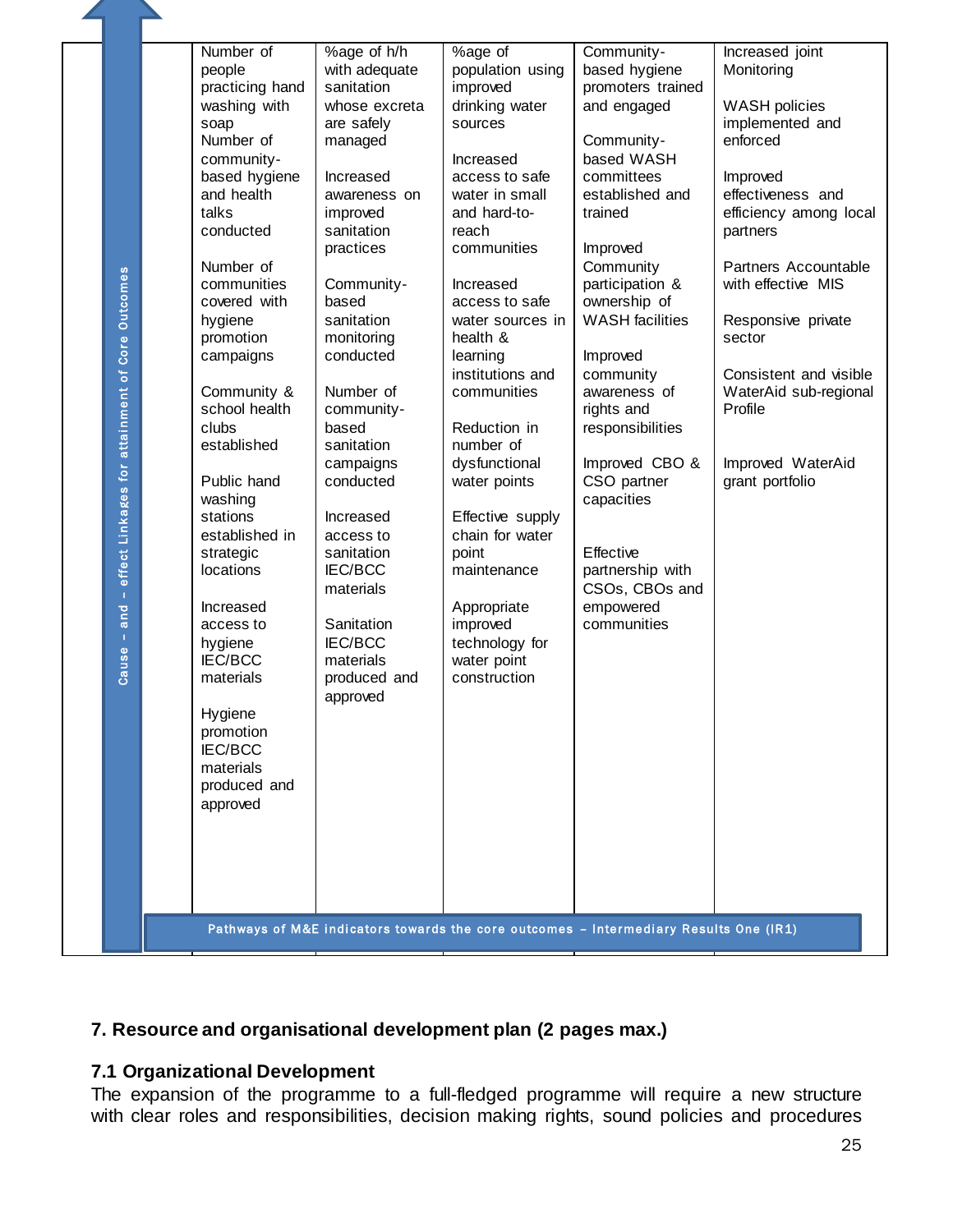| Number of<br>people<br>practicing hand<br>washing with<br>soap<br>Number of<br>community-<br>based hygiene<br>and health<br>talks<br>conducted<br>Number of<br>- effect Linkages for attainment of Core Outcomes<br>communities<br>covered with<br>hygiene<br>promotion<br>campaigns<br>Community &<br>school health<br>clubs<br>established<br>Public hand<br>washing<br>stations<br>established in<br>strategic<br>locations<br>Increased<br>and<br>access to<br>$\mathbf{I}$<br>hygiene<br>Cause<br><b>IEC/BCC</b><br>materials<br>Hygiene<br>promotion<br><b>IEC/BCC</b><br>materials<br>produced and<br>approved | %age of h/h<br>with adequate<br>sanitation<br>whose excreta<br>are safely<br>managed<br>Increased<br>awareness on<br>improved<br>sanitation<br>practices<br>Community-<br>based<br>sanitation<br>monitoring<br>conducted<br>Number of<br>community-<br>based<br>sanitation<br>campaigns<br>conducted<br>Increased<br>access to<br>sanitation<br><b>IEC/BCC</b><br>materials<br>Sanitation<br><b>IEC/BCC</b><br>materials<br>produced and<br>approved | %age of<br>population using<br>improved<br>drinking water<br>sources<br>Increased<br>access to safe<br>water in small<br>and hard-to-<br>reach<br>communities<br>Increased<br>access to safe<br>water sources in<br>health &<br>learning<br>institutions and<br>communities<br>Reduction in<br>number of<br>dysfunctional<br>water points<br>Effective supply<br>chain for water<br>point<br>maintenance<br>Appropriate<br>improved<br>technology for<br>water point<br>construction | Community-<br>based hygiene<br>promoters trained<br>and engaged<br>Community-<br>based WASH<br>committees<br>established and<br>trained<br>Improved<br>Community<br>participation &<br>ownership of<br><b>WASH</b> facilities<br>Improved<br>community<br>awareness of<br>rights and<br>responsibilities<br>Improved CBO &<br>CSO partner<br>capacities<br>Effective<br>partnership with<br>CSOs, CBOs and<br>empowered<br>communities | Increased joint<br>Monitoring<br><b>WASH policies</b><br>implemented and<br>enforced<br>Improved<br>effectiveness and<br>efficiency among local<br>partners<br>Partners Accountable<br>with effective MIS<br>Responsive private<br>sector<br>Consistent and visible<br>WaterAid sub-regional<br>Profile<br>Improved WaterAid<br>grant portfolio |
|-----------------------------------------------------------------------------------------------------------------------------------------------------------------------------------------------------------------------------------------------------------------------------------------------------------------------------------------------------------------------------------------------------------------------------------------------------------------------------------------------------------------------------------------------------------------------------------------------------------------------|------------------------------------------------------------------------------------------------------------------------------------------------------------------------------------------------------------------------------------------------------------------------------------------------------------------------------------------------------------------------------------------------------------------------------------------------------|--------------------------------------------------------------------------------------------------------------------------------------------------------------------------------------------------------------------------------------------------------------------------------------------------------------------------------------------------------------------------------------------------------------------------------------------------------------------------------------|----------------------------------------------------------------------------------------------------------------------------------------------------------------------------------------------------------------------------------------------------------------------------------------------------------------------------------------------------------------------------------------------------------------------------------------|-------------------------------------------------------------------------------------------------------------------------------------------------------------------------------------------------------------------------------------------------------------------------------------------------------------------------------------------------|
|-----------------------------------------------------------------------------------------------------------------------------------------------------------------------------------------------------------------------------------------------------------------------------------------------------------------------------------------------------------------------------------------------------------------------------------------------------------------------------------------------------------------------------------------------------------------------------------------------------------------------|------------------------------------------------------------------------------------------------------------------------------------------------------------------------------------------------------------------------------------------------------------------------------------------------------------------------------------------------------------------------------------------------------------------------------------------------------|--------------------------------------------------------------------------------------------------------------------------------------------------------------------------------------------------------------------------------------------------------------------------------------------------------------------------------------------------------------------------------------------------------------------------------------------------------------------------------------|----------------------------------------------------------------------------------------------------------------------------------------------------------------------------------------------------------------------------------------------------------------------------------------------------------------------------------------------------------------------------------------------------------------------------------------|-------------------------------------------------------------------------------------------------------------------------------------------------------------------------------------------------------------------------------------------------------------------------------------------------------------------------------------------------|

# **7. Resource and organisational development plan (2 pages max.)**

## **7.1 Organizational Development**

The expansion of the programme to a full-fledged programme will require a new structure with clear roles and responsibilities, decision making rights, sound policies and procedures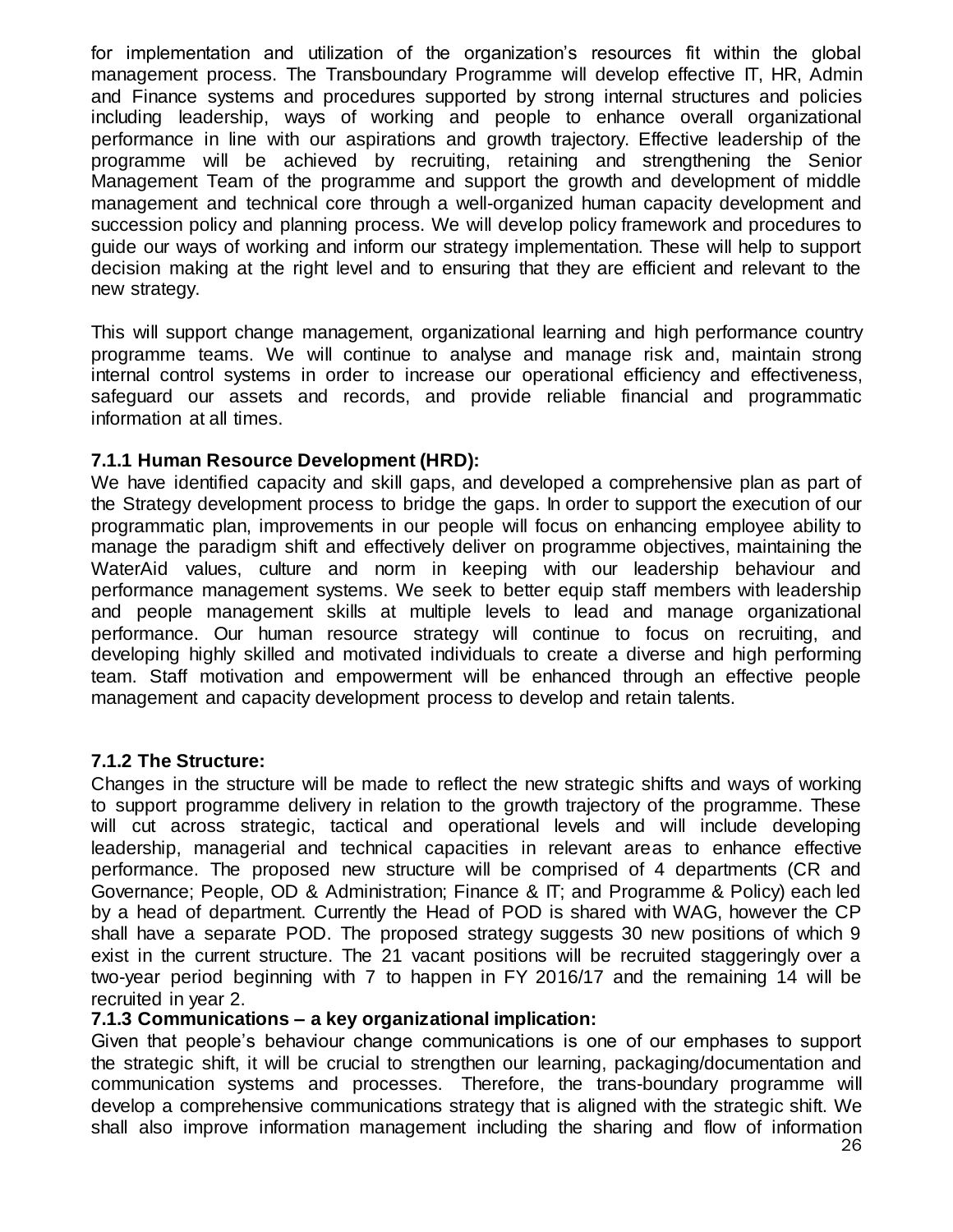for implementation and utilization of the organization's resources fit within the global management process. The Transboundary Programme will develop effective IT, HR, Admin and Finance systems and procedures supported by strong internal structures and policies including leadership, ways of working and people to enhance overall organizational performance in line with our aspirations and growth trajectory. Effective leadership of the programme will be achieved by recruiting, retaining and strengthening the Senior Management Team of the programme and support the growth and development of middle management and technical core through a well-organized human capacity development and succession policy and planning process. We will develop policy framework and procedures to guide our ways of working and inform our strategy implementation. These will help to support decision making at the right level and to ensuring that they are efficient and relevant to the new strategy.

This will support change management, organizational learning and high performance country programme teams. We will continue to analyse and manage risk and, maintain strong internal control systems in order to increase our operational efficiency and effectiveness, safeguard our assets and records, and provide reliable financial and programmatic information at all times.

## **7.1.1 Human Resource Development (HRD):**

We have identified capacity and skill gaps, and developed a comprehensive plan as part of the Strategy development process to bridge the gaps. In order to support the execution of our programmatic plan, improvements in our people will focus on enhancing employee ability to manage the paradigm shift and effectively deliver on programme objectives, maintaining the WaterAid values, culture and norm in keeping with our leadership behaviour and performance management systems. We seek to better equip staff members with leadership and people management skills at multiple levels to lead and manage organizational performance. Our human resource strategy will continue to focus on recruiting, and developing highly skilled and motivated individuals to create a diverse and high performing team. Staff motivation and empowerment will be enhanced through an effective people management and capacity development process to develop and retain talents.

#### **7.1.2 The Structure:**

Changes in the structure will be made to reflect the new strategic shifts and ways of working to support programme delivery in relation to the growth trajectory of the programme. These will cut across strategic, tactical and operational levels and will include developing leadership, managerial and technical capacities in relevant areas to enhance effective performance. The proposed new structure will be comprised of 4 departments (CR and Governance; People, OD & Administration; Finance & IT; and Programme & Policy) each led by a head of department. Currently the Head of POD is shared with WAG, however the CP shall have a separate POD. The proposed strategy suggests 30 new positions of which 9 exist in the current structure. The 21 vacant positions will be recruited staggeringly over a two-year period beginning with 7 to happen in FY 2016/17 and the remaining 14 will be recruited in year 2.

#### **7.1.3 Communications – a key organizational implication:**

Given that people's behaviour change communications is one of our emphases to support the strategic shift, it will be crucial to strengthen our learning, packaging/documentation and communication systems and processes. Therefore, the trans-boundary programme will develop a comprehensive communications strategy that is aligned with the strategic shift. We shall also improve information management including the sharing and flow of information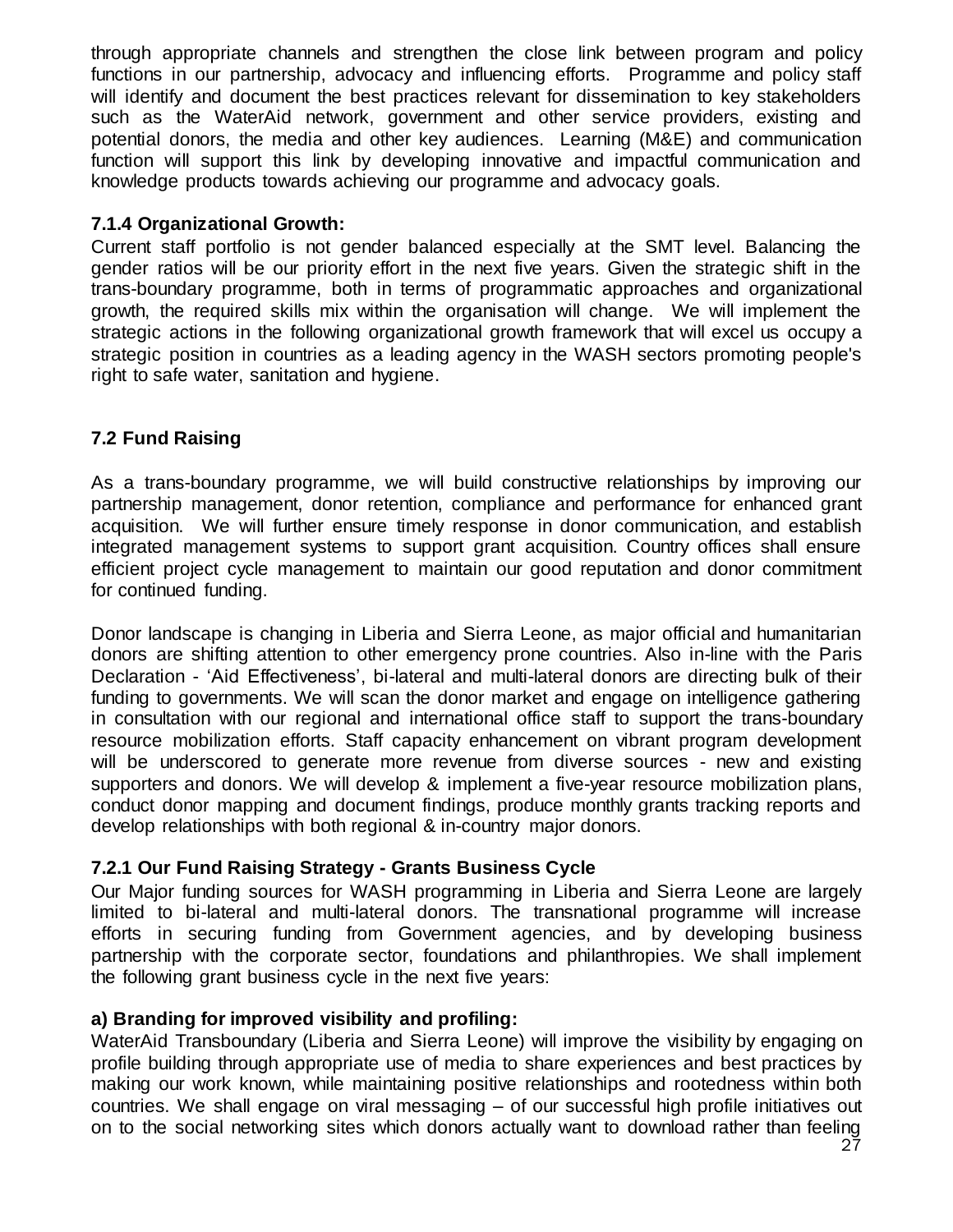through appropriate channels and strengthen the close link between program and policy functions in our partnership, advocacy and influencing efforts. Programme and policy staff will identify and document the best practices relevant for dissemination to key stakeholders such as the WaterAid network, government and other service providers, existing and potential donors, the media and other key audiences. Learning (M&E) and communication function will support this link by developing innovative and impactful communication and knowledge products towards achieving our programme and advocacy goals.

## **7.1.4 Organizational Growth:**

Current staff portfolio is not gender balanced especially at the SMT level. Balancing the gender ratios will be our priority effort in the next five years. Given the strategic shift in the trans-boundary programme, both in terms of programmatic approaches and organizational growth, the required skills mix within the organisation will change. We will implement the strategic actions in the following organizational growth framework that will excel us occupy a strategic position in countries as a leading agency in the WASH sectors promoting people's right to safe water, sanitation and hygiene.

## **7.2 Fund Raising**

As a trans-boundary programme, we will build constructive relationships by improving our partnership management, donor retention, compliance and performance for enhanced grant acquisition. We will further ensure timely response in donor communication, and establish integrated management systems to support grant acquisition. Country offices shall ensure efficient project cycle management to maintain our good reputation and donor commitment for continued funding.

Donor landscape is changing in Liberia and Sierra Leone, as major official and humanitarian donors are shifting attention to other emergency prone countries. Also in-line with the Paris Declaration - 'Aid Effectiveness', bi-lateral and multi-lateral donors are directing bulk of their funding to governments. We will scan the donor market and engage on intelligence gathering in consultation with our regional and international office staff to support the trans-boundary resource mobilization efforts. Staff capacity enhancement on vibrant program development will be underscored to generate more revenue from diverse sources - new and existing supporters and donors. We will develop & implement a five-year resource mobilization plans, conduct donor mapping and document findings, produce monthly grants tracking reports and develop relationships with both regional & in-country major donors.

## **7.2.1 Our Fund Raising Strategy - Grants Business Cycle**

Our Major funding sources for WASH programming in Liberia and Sierra Leone are largely limited to bi-lateral and multi-lateral donors. The transnational programme will increase efforts in securing funding from Government agencies, and by developing business partnership with the corporate sector, foundations and philanthropies. We shall implement the following grant business cycle in the next five years:

## **a) Branding for improved visibility and profiling:**

WaterAid Transboundary (Liberia and Sierra Leone) will improve the visibility by engaging on profile building through appropriate use of media to share experiences and best practices by making our work known, while maintaining positive relationships and rootedness within both countries. We shall engage on viral messaging – of our successful high profile initiatives out on to the social networking sites which donors actually want to download rather than feeling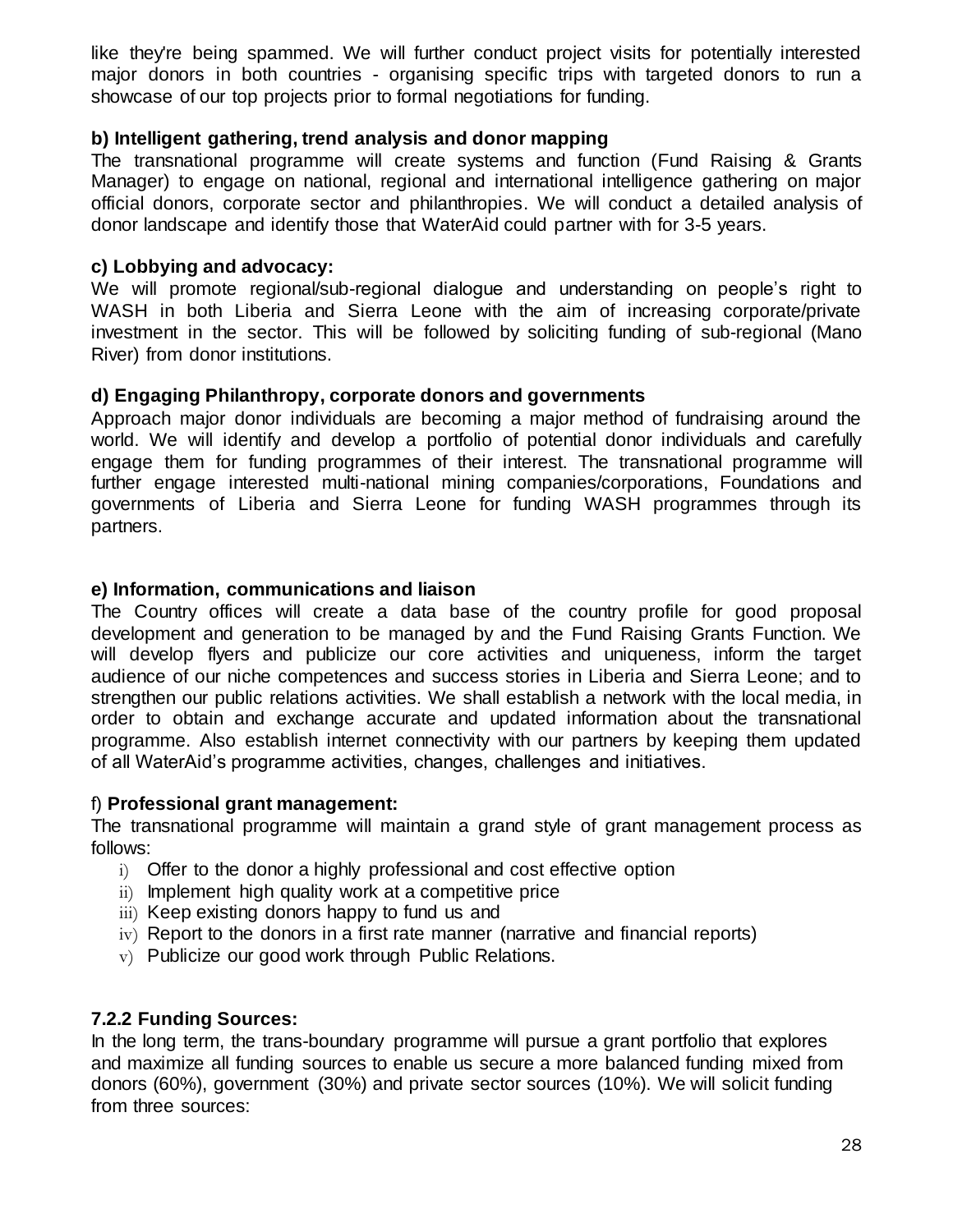like they're being spammed. We will further conduct project visits for potentially interested major donors in both countries - organising specific trips with targeted donors to run a showcase of our top projects prior to formal negotiations for funding.

## **b) Intelligent gathering, trend analysis and donor mapping**

The transnational programme will create systems and function (Fund Raising & Grants Manager) to engage on national, regional and international intelligence gathering on major official donors, corporate sector and philanthropies. We will conduct a detailed analysis of donor landscape and identify those that WaterAid could partner with for 3-5 years.

## **c) Lobbying and advocacy:**

We will promote regional/sub-regional dialogue and understanding on people's right to WASH in both Liberia and Sierra Leone with the aim of increasing corporate/private investment in the sector. This will be followed by soliciting funding of sub-regional (Mano River) from donor institutions.

## **d) Engaging Philanthropy, corporate donors and governments**

Approach major donor individuals are becoming a major method of fundraising around the world. We will identify and develop a portfolio of potential donor individuals and carefully engage them for funding programmes of their interest. The transnational programme will further engage interested multi-national mining companies/corporations, Foundations and governments of Liberia and Sierra Leone for funding WASH programmes through its partners.

## **e) Information, communications and liaison**

The Country offices will create a data base of the country profile for good proposal development and generation to be managed by and the Fund Raising Grants Function. We will develop flyers and publicize our core activities and uniqueness, inform the target audience of our niche competences and success stories in Liberia and Sierra Leone; and to strengthen our public relations activities. We shall establish a network with the local media, in order to obtain and exchange accurate and updated information about the transnational programme. Also establish internet connectivity with our partners by keeping them updated of all WaterAid's programme activities, changes, challenges and initiatives.

#### f) **Professional grant management:**

The transnational programme will maintain a grand style of grant management process as follows:

- i) Offer to the donor a highly professional and cost effective option
- ii) Implement high quality work at a competitive price
- iii) Keep existing donors happy to fund us and
- iv) Report to the donors in a first rate manner (narrative and financial reports)
- $\mathbf{v}$ ) Publicize our good work through Public Relations.

## **7.2.2 Funding Sources:**

In the long term, the trans-boundary programme will pursue a grant portfolio that explores and maximize all funding sources to enable us secure a more balanced funding mixed from donors (60%), government (30%) and private sector sources (10%). We will solicit funding from three sources: